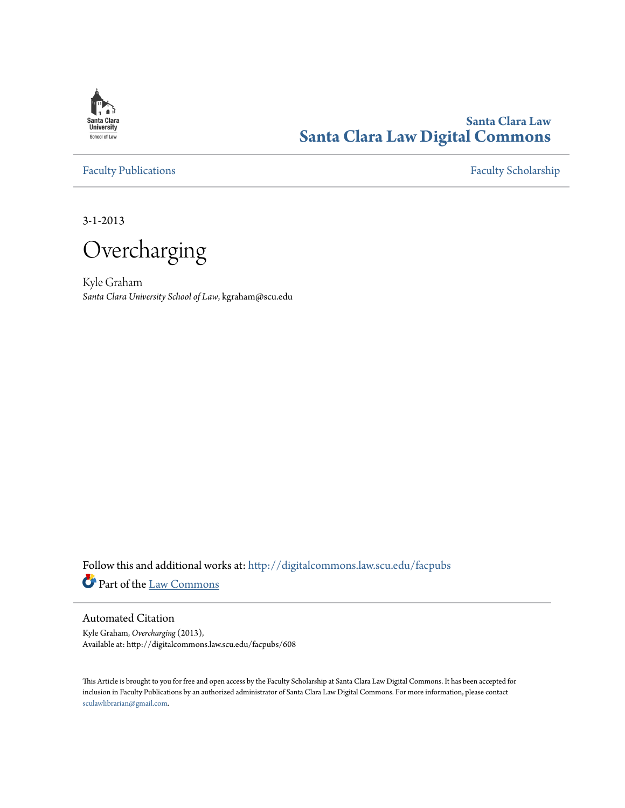

# **Santa Clara Law [Santa Clara Law Digital Commons](http://digitalcommons.law.scu.edu?utm_source=digitalcommons.law.scu.edu%2Ffacpubs%2F608&utm_medium=PDF&utm_campaign=PDFCoverPages)**

[Faculty Publications](http://digitalcommons.law.scu.edu/facpubs?utm_source=digitalcommons.law.scu.edu%2Ffacpubs%2F608&utm_medium=PDF&utm_campaign=PDFCoverPages) [Faculty Scholarship](http://digitalcommons.law.scu.edu/faculty?utm_source=digitalcommons.law.scu.edu%2Ffacpubs%2F608&utm_medium=PDF&utm_campaign=PDFCoverPages)

3-1-2013

Overcharging

Kyle Graham *Santa Clara University School of Law*, kgraham@scu.edu

Follow this and additional works at: [http://digitalcommons.law.scu.edu/facpubs](http://digitalcommons.law.scu.edu/facpubs?utm_source=digitalcommons.law.scu.edu%2Ffacpubs%2F608&utm_medium=PDF&utm_campaign=PDFCoverPages) Part of the [Law Commons](http://network.bepress.com/hgg/discipline/578?utm_source=digitalcommons.law.scu.edu%2Ffacpubs%2F608&utm_medium=PDF&utm_campaign=PDFCoverPages)

# Automated Citation

Kyle Graham, *Overcharging* (2013), Available at: http://digitalcommons.law.scu.edu/facpubs/608

This Article is brought to you for free and open access by the Faculty Scholarship at Santa Clara Law Digital Commons. It has been accepted for inclusion in Faculty Publications by an authorized administrator of Santa Clara Law Digital Commons. For more information, please contact [sculawlibrarian@gmail.com](mailto:sculawlibrarian@gmail.com).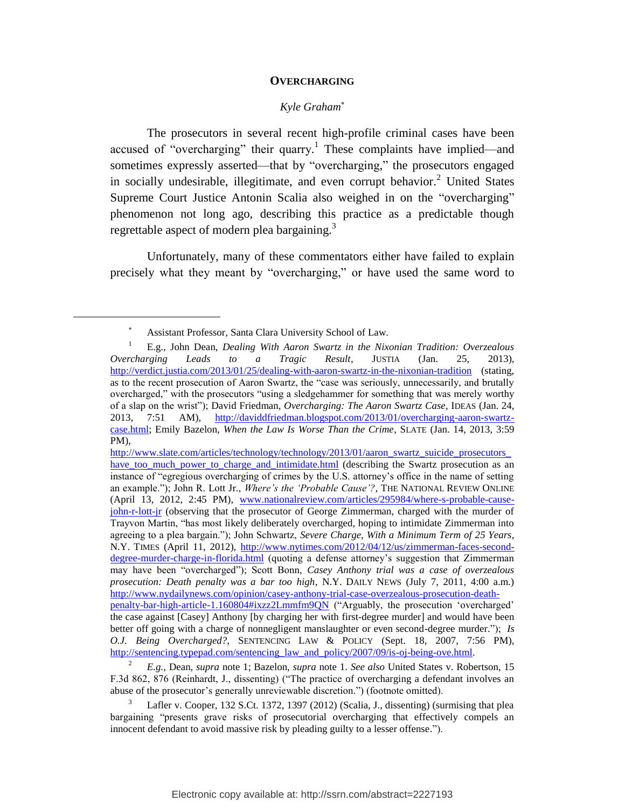#### **OVERCHARGING**

# <span id="page-1-0"></span>*Kyle Graham*

The prosecutors in several recent high-profile criminal cases have been accused of "overcharging" their quarry.<sup>1</sup> These complaints have implied—and sometimes expressly asserted—that by "overcharging," the prosecutors engaged in socially undesirable, illegitimate, and even corrupt behavior.<sup>2</sup> United States Supreme Court Justice Antonin Scalia also weighed in on the "overcharging" phenomenon not long ago, describing this practice as a predictable though regrettable aspect of modern plea bargaining.<sup>3</sup>

Unfortunately, many of these commentators either have failed to explain precisely what they meant by "overcharging," or have used the same word to

Assistant Professor, Santa Clara University School of Law.

<sup>1</sup> E.g., John Dean, *Dealing With Aaron Swartz in the Nixonian Tradition: Overzealous Overcharging Leads to a Tragic Result*, JUSTIA (Jan. 25, 2013), <http://verdict.justia.com/2013/01/25/dealing-with-aaron-swartz-in-the-nixonian-tradition> (stating, as to the recent prosecution of Aaron Swartz, the "case was seriously, unnecessarily, and brutally overcharged," with the prosecutors "using a sledgehammer for something that was merely worthy of a slap on the wrist"); David Friedman, *Overcharging: The Aaron Swartz Case*, IDEAS (Jan. 24, 2013, 7:51 AM), [http://daviddfriedman.blogspot.com/2013/01/overcharging-aaron-swartz](http://daviddfriedman.blogspot.com/2013/01/overcharging-aaron-swartz-case.html)[case.html;](http://daviddfriedman.blogspot.com/2013/01/overcharging-aaron-swartz-case.html) Emily Bazelon, *When the Law Is Worse Than the Crime*, SLATE (Jan. 14, 2013, 3:59 PM),

http://www.slate.com/articles/technology/technology/2013/01/aaron\_swartz\_suicide\_prosecutors have too much power to charge and intimidate.html (describing the Swartz prosecution as an instance of "egregious overcharging of crimes by the U.S. attorney's office in the name of setting an example."); John R. Lott Jr., *Where's the 'Probable Cause'?*, THE NATIONAL REVIEW ONLINE (April 13, 2012, 2:45 PM), [www.nationalreview.com/articles/295984/where-s-probable-cause](http://www.nationalreview.com/articles/295984/where-s-probable-cause-john-r-lott-jr)[john-r-lott-jr](http://www.nationalreview.com/articles/295984/where-s-probable-cause-john-r-lott-jr) (observing that the prosecutor of George Zimmerman, charged with the murder of Trayvon Martin, "has most likely deliberately overcharged, hoping to intimidate Zimmerman into agreeing to a plea bargain."); John Schwartz, *Severe Charge, With a Minimum Term of 25 Years*, N.Y. TIMES (April 11, 2012), [http://www.nytimes.com/2012/04/12/us/zimmerman-faces-second](http://www.nytimes.com/2012/04/12/us/zimmerman-faces-second-degree-murder-charge-in-florida.html)[degree-murder-charge-in-florida.html](http://www.nytimes.com/2012/04/12/us/zimmerman-faces-second-degree-murder-charge-in-florida.html) (quoting a defense attorney's suggestion that Zimmerman may have been "overcharged"); Scott Bonn, *Casey Anthony trial was a case of overzealous prosecution: Death penalty was a bar too high*, N.Y. DAILY NEWS (July 7, 2011, 4:00 a.m.) [http://www.nydailynews.com/opinion/casey-anthony-trial-case-overzealous-prosecution-death](http://www.nydailynews.com/opinion/casey-anthony-trial-case-overzealous-prosecution-death-penalty-bar-high-article-1.160804#ixzz2Lmmfm9QN)[penalty-bar-high-article-1.160804#ixzz2Lmmfm9QN](http://www.nydailynews.com/opinion/casey-anthony-trial-case-overzealous-prosecution-death-penalty-bar-high-article-1.160804#ixzz2Lmmfm9QN) ("Arguably, the prosecution 'overcharged' the case against [Casey] Anthony [by charging her with first-degree murder] and would have been better off going with a charge of nonnegligent manslaughter or even second-degree murder."); *Is O.J. Being Overcharged?,* SENTENCING LAW & POLICY (Sept. 18, 2007, 7:56 PM), [http://sentencing.typepad.com/sentencing\\_law\\_and\\_policy/2007/09/is-oj-being-ove.html.](http://sentencing.typepad.com/sentencing_law_and_policy/2007/09/is-oj-being-ove.html)

<sup>2</sup> *E.g.*, Dean, *supra* note [1;](#page-1-0) Bazelon, *supra* note [1.](#page-1-0) *See also* United States v. Robertson, 15 F.3d 862, 876 (Reinhardt, J., dissenting) ("The practice of overcharging a defendant involves an abuse of the prosecutor's generally unreviewable discretion.") (footnote omitted).

Lafler v. Cooper, 132 S.Ct. 1372, 1397 (2012) (Scalia, J., dissenting) (surmising that plea bargaining "presents grave risks of prosecutorial overcharging that effectively compels an innocent defendant to avoid massive risk by pleading guilty to a lesser offense.").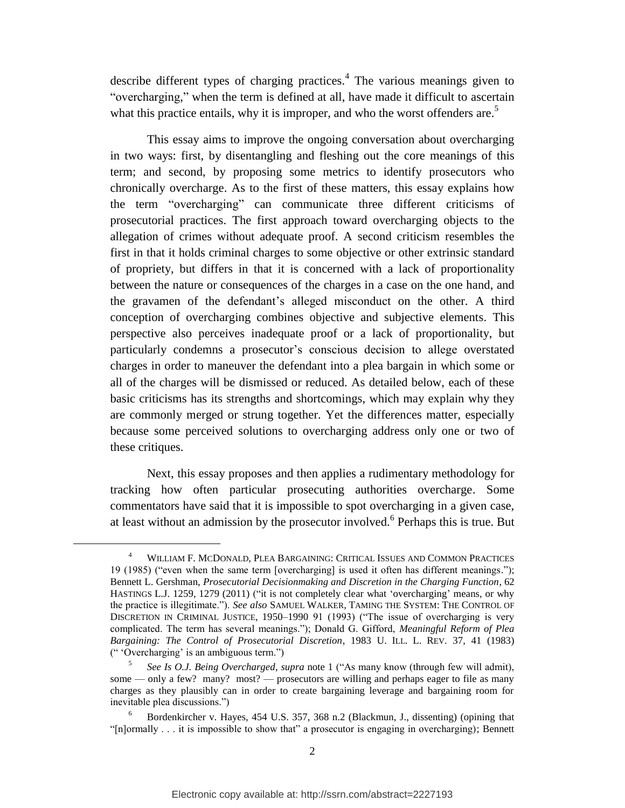<span id="page-2-0"></span>describe different types of charging practices. 4 The various meanings given to "overcharging," when the term is defined at all, have made it difficult to ascertain what this practice entails, why it is improper, and who the worst offenders are.<sup>5</sup>

This essay aims to improve the ongoing conversation about overcharging in two ways: first, by disentangling and fleshing out the core meanings of this term; and second, by proposing some metrics to identify prosecutors who chronically overcharge. As to the first of these matters, this essay explains how the term "overcharging" can communicate three different criticisms of prosecutorial practices. The first approach toward overcharging objects to the allegation of crimes without adequate proof. A second criticism resembles the first in that it holds criminal charges to some objective or other extrinsic standard of propriety, but differs in that it is concerned with a lack of proportionality between the nature or consequences of the charges in a case on the one hand, and the gravamen of the defendant's alleged misconduct on the other. A third conception of overcharging combines objective and subjective elements. This perspective also perceives inadequate proof or a lack of proportionality, but particularly condemns a prosecutor's conscious decision to allege overstated charges in order to maneuver the defendant into a plea bargain in which some or all of the charges will be dismissed or reduced. As detailed below, each of these basic criticisms has its strengths and shortcomings, which may explain why they are commonly merged or strung together. Yet the differences matter, especially because some perceived solutions to overcharging address only one or two of these critiques.

Next, this essay proposes and then applies a rudimentary methodology for tracking how often particular prosecuting authorities overcharge. Some commentators have said that it is impossible to spot overcharging in a given case, at least without an admission by the prosecutor involved.<sup>6</sup> Perhaps this is true. But

l

<sup>4</sup> WILLIAM F. MCDONALD, PLEA BARGAINING: CRITICAL ISSUES AND COMMON PRACTICES 19 (1985) ("even when the same term [overcharging] is used it often has different meanings."); Bennett L. Gershman, *Prosecutorial Decisionmaking and Discretion in the Charging Function*, 62 HASTINGS L.J. 1259, 1279 (2011) ("it is not completely clear what 'overcharging' means, or why the practice is illegitimate."). *See also* SAMUEL WALKER, TAMING THE SYSTEM: THE CONTROL OF DISCRETION IN CRIMINAL JUSTICE, 1950–1990 91 (1993) ("The issue of overcharging is very complicated. The term has several meanings."); Donald G. Gifford, *Meaningful Reform of Plea Bargaining: The Control of Prosecutorial Discretion*, 1983 U. ILL. L. REV. 37, 41 (1983) (" 'Overcharging' is an ambiguous term.")

<sup>5</sup> *See Is O.J. Being Overcharged*, *supra* note [1](#page-1-0) ("As many know (through few will admit), some — only a few? many? most? — prosecutors are willing and perhaps eager to file as many charges as they plausibly can in order to create bargaining leverage and bargaining room for inevitable plea discussions.")

<sup>6</sup> Bordenkircher v. Hayes, 454 U.S. 357, 368 n.2 (Blackmun, J., dissenting) (opining that "[n]ormally . . . it is impossible to show that" a prosecutor is engaging in overcharging); Bennett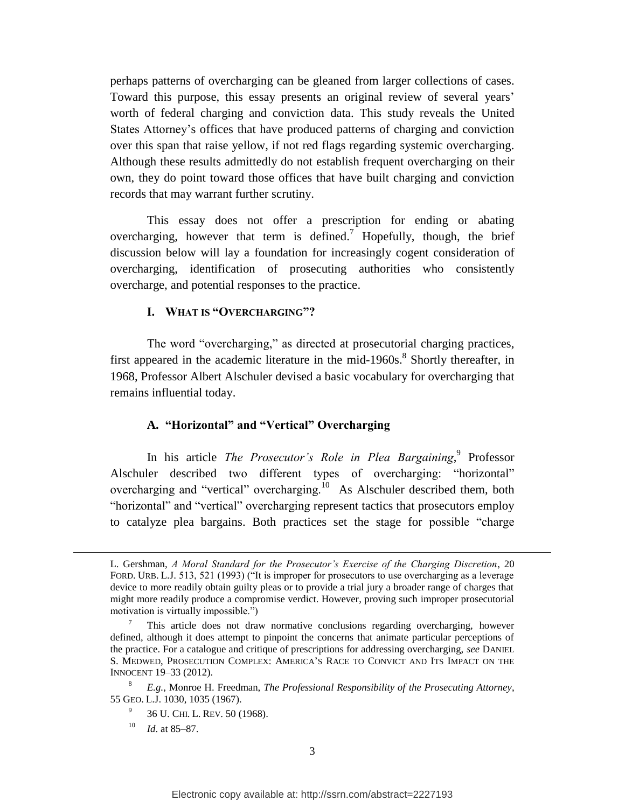perhaps patterns of overcharging can be gleaned from larger collections of cases. Toward this purpose, this essay presents an original review of several years' worth of federal charging and conviction data. This study reveals the United States Attorney's offices that have produced patterns of charging and conviction over this span that raise yellow, if not red flags regarding systemic overcharging. Although these results admittedly do not establish frequent overcharging on their own, they do point toward those offices that have built charging and conviction records that may warrant further scrutiny.

This essay does not offer a prescription for ending or abating overcharging, however that term is defined.<sup>7</sup> Hopefully, though, the brief discussion below will lay a foundation for increasingly cogent consideration of overcharging, identification of prosecuting authorities who consistently overcharge, and potential responses to the practice.

# <span id="page-3-1"></span>**I. WHAT IS "OVERCHARGING"?**

The word "overcharging," as directed at prosecutorial charging practices, first appeared in the academic literature in the mid-1960s.<sup>8</sup> Shortly thereafter, in 1968, Professor Albert Alschuler devised a basic vocabulary for overcharging that remains influential today.

# <span id="page-3-0"></span>**A. "Horizontal" and "Vertical" Overcharging**

In his article *The Prosecutor's Role in Plea Bargaining*,<sup>9</sup> Professor Alschuler described two different types of overcharging: "horizontal" overcharging and "vertical" overcharging.<sup>10</sup> As Alschuler described them, both "horizontal" and "vertical" overcharging represent tactics that prosecutors employ to catalyze plea bargains. Both practices set the stage for possible "charge

L. Gershman, *A Moral Standard for the Prosecutor's Exercise of the Charging Discretion*, 20 FORD. URB. L.J. 513, 521 (1993) ("It is improper for prosecutors to use overcharging as a leverage device to more readily obtain guilty pleas or to provide a trial jury a broader range of charges that might more readily produce a compromise verdict. However, proving such improper prosecutorial motivation is virtually impossible.")

<sup>7</sup> This article does not draw normative conclusions regarding overcharging, however defined, although it does attempt to pinpoint the concerns that animate particular perceptions of the practice. For a catalogue and critique of prescriptions for addressing overcharging, *see* DANIEL S. MEDWED, PROSECUTION COMPLEX: AMERICA'S RACE TO CONVICT AND ITS IMPACT ON THE INNOCENT 19–33 (2012).

<sup>8</sup> *E.g.*, Monroe H. Freedman, *The Professional Responsibility of the Prosecuting Attorney*, 55 GEO. L.J. 1030, 1035 (1967).

<sup>9</sup> 36 U. CHI. L. REV. 50 (1968).

<sup>10</sup> *Id*. at 85–87.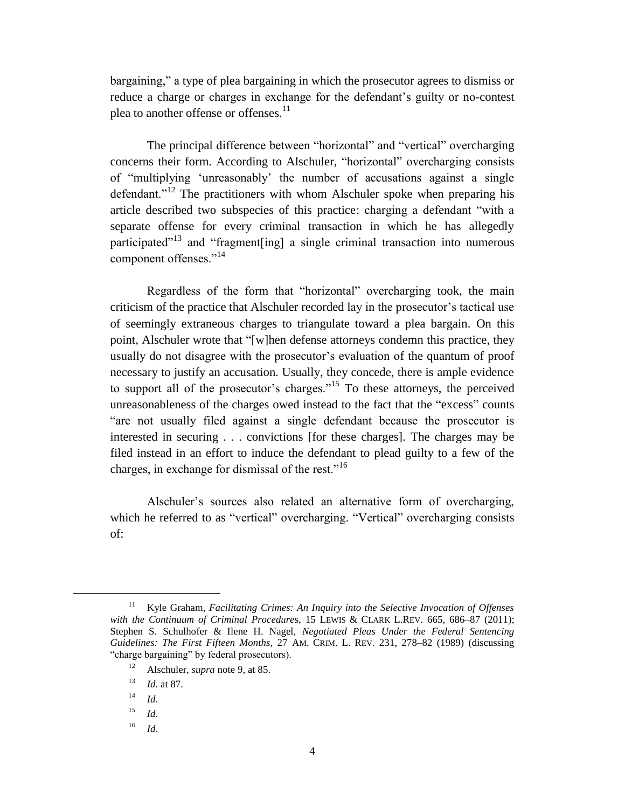<span id="page-4-0"></span>bargaining," a type of plea bargaining in which the prosecutor agrees to dismiss or reduce a charge or charges in exchange for the defendant's guilty or no-contest plea to another offense or offenses.<sup>11</sup>

The principal difference between "horizontal" and "vertical" overcharging concerns their form. According to Alschuler, "horizontal" overcharging consists of "multiplying 'unreasonably' the number of accusations against a single defendant."<sup>12</sup> The practitioners with whom Alschuler spoke when preparing his article described two subspecies of this practice: charging a defendant "with a separate offense for every criminal transaction in which he has allegedly participated"<sup>13</sup> and "fragment [ing] a single criminal transaction into numerous component offenses."<sup>14</sup>

Regardless of the form that "horizontal" overcharging took, the main criticism of the practice that Alschuler recorded lay in the prosecutor's tactical use of seemingly extraneous charges to triangulate toward a plea bargain. On this point, Alschuler wrote that "[w]hen defense attorneys condemn this practice, they usually do not disagree with the prosecutor's evaluation of the quantum of proof necessary to justify an accusation. Usually, they concede, there is ample evidence to support all of the prosecutor's charges."<sup>15</sup> To these attorneys, the perceived unreasonableness of the charges owed instead to the fact that the "excess" counts "are not usually filed against a single defendant because the prosecutor is interested in securing . . . convictions [for these charges]. The charges may be filed instead in an effort to induce the defendant to plead guilty to a few of the charges, in exchange for dismissal of the rest."<sup>16</sup>

Alschuler's sources also related an alternative form of overcharging, which he referred to as "vertical" overcharging. "Vertical" overcharging consists of:

<sup>11</sup> Kyle Graham, *Facilitating Crimes: An Inquiry into the Selective Invocation of Offenses with the Continuum of Criminal Procedure*s, 15 LEWIS & CLARK L.REV. 665, 686–87 (2011); Stephen S. Schulhofer & Ilene H. Nagel, *Negotiated Pleas Under the Federal Sentencing Guidelines: The First Fifteen Months*, 27 AM. CRIM. L. REV. 231, 278–82 (1989) (discussing "charge bargaining" by federal prosecutors).

<sup>12</sup> Alschuler, *supra* note [9,](#page-3-0) at 85.

<sup>13</sup> *Id*. at 87.

 $14$  *Id.* 

<sup>15</sup> *Id*.

<sup>16</sup> *Id*.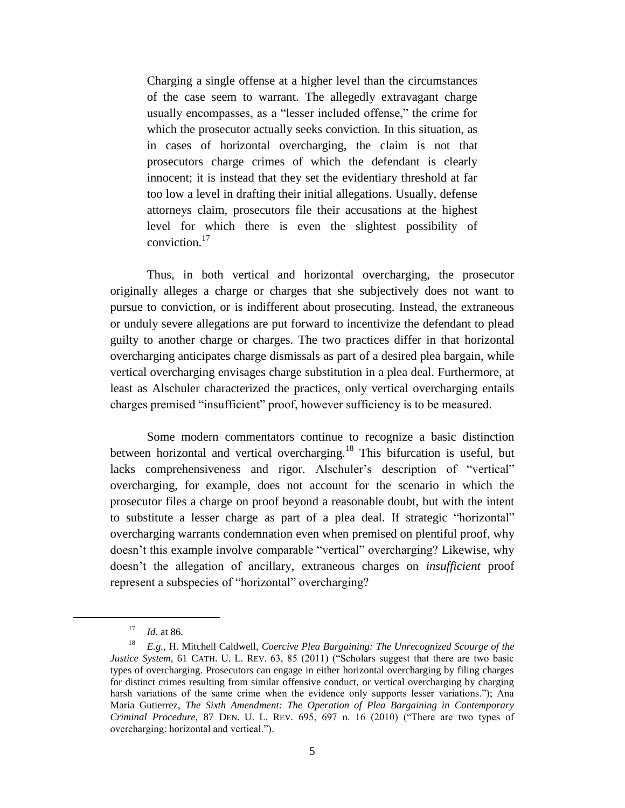Charging a single offense at a higher level than the circumstances of the case seem to warrant. The allegedly extravagant charge usually encompasses, as a "lesser included offense," the crime for which the prosecutor actually seeks conviction. In this situation, as in cases of horizontal overcharging, the claim is not that prosecutors charge crimes of which the defendant is clearly innocent; it is instead that they set the evidentiary threshold at far too low a level in drafting their initial allegations. Usually, defense attorneys claim, prosecutors file their accusations at the highest level for which there is even the slightest possibility of conviction.<sup>17</sup>

Thus, in both vertical and horizontal overcharging, the prosecutor originally alleges a charge or charges that she subjectively does not want to pursue to conviction, or is indifferent about prosecuting. Instead, the extraneous or unduly severe allegations are put forward to incentivize the defendant to plead guilty to another charge or charges. The two practices differ in that horizontal overcharging anticipates charge dismissals as part of a desired plea bargain, while vertical overcharging envisages charge substitution in a plea deal. Furthermore, at least as Alschuler characterized the practices, only vertical overcharging entails charges premised "insufficient" proof, however sufficiency is to be measured.

Some modern commentators continue to recognize a basic distinction between horizontal and vertical overcharging.<sup>18</sup> This bifurcation is useful, but lacks comprehensiveness and rigor. Alschuler's description of "vertical" overcharging, for example, does not account for the scenario in which the prosecutor files a charge on proof beyond a reasonable doubt, but with the intent to substitute a lesser charge as part of a plea deal. If strategic "horizontal" overcharging warrants condemnation even when premised on plentiful proof, why doesn't this example involve comparable "vertical" overcharging? Likewise, why doesn't the allegation of ancillary, extraneous charges on *insufficient* proof represent a subspecies of "horizontal" overcharging?

<sup>17</sup> *Id*. at 86.

<sup>18</sup> *E.g.*, H. Mitchell Caldwell, *Coercive Plea Bargaining: The Unrecognized Scourge of the Justice System*, 61 CATH. U. L. REV. 63, 85 (2011) ("Scholars suggest that there are two basic types of overcharging. Prosecutors can engage in either horizontal overcharging by filing charges for distinct crimes resulting from similar offensive conduct, or vertical overcharging by charging harsh variations of the same crime when the evidence only supports lesser variations."); Ana Maria Gutierrez, *The Sixth Amendment: The Operation of Plea Bargaining in Contemporary Criminal Procedure*, 87 DEN. U. L. REV. 695, 697 n. 16 (2010) ("There are two types of overcharging: horizontal and vertical.").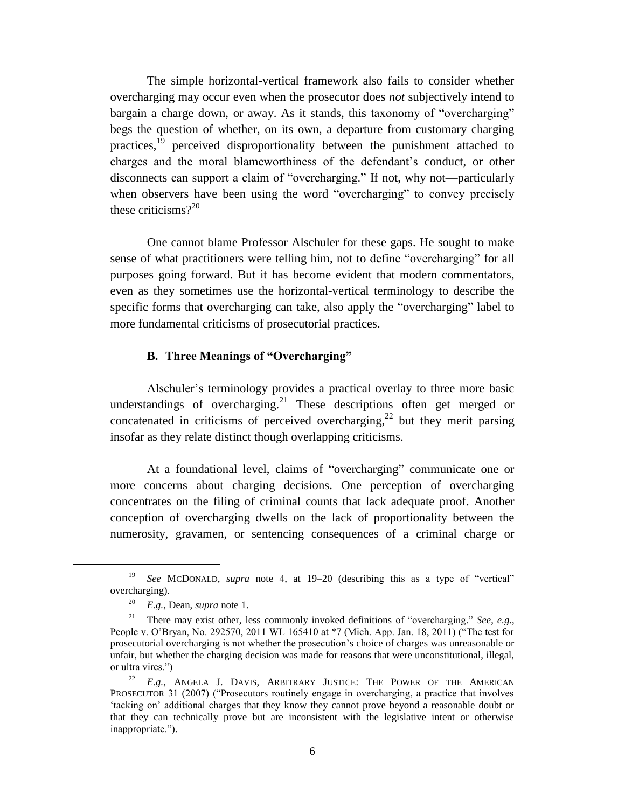The simple horizontal-vertical framework also fails to consider whether overcharging may occur even when the prosecutor does *not* subjectively intend to bargain a charge down, or away. As it stands, this taxonomy of "overcharging" begs the question of whether, on its own, a departure from customary charging practices,<sup>19</sup> perceived disproportionality between the punishment attached to charges and the moral blameworthiness of the defendant's conduct, or other disconnects can support a claim of "overcharging." If not, why not—particularly when observers have been using the word "overcharging" to convey precisely these criticisms? $2^{20}$ 

One cannot blame Professor Alschuler for these gaps. He sought to make sense of what practitioners were telling him, not to define "overcharging" for all purposes going forward. But it has become evident that modern commentators, even as they sometimes use the horizontal-vertical terminology to describe the specific forms that overcharging can take, also apply the "overcharging" label to more fundamental criticisms of prosecutorial practices.

## **B. Three Meanings of "Overcharging"**

Alschuler's terminology provides a practical overlay to three more basic understandings of overcharging.<sup>21</sup> These descriptions often get merged or concatenated in criticisms of perceived overcharging,<sup>22</sup> but they merit parsing insofar as they relate distinct though overlapping criticisms.

At a foundational level, claims of "overcharging" communicate one or more concerns about charging decisions. One perception of overcharging concentrates on the filing of criminal counts that lack adequate proof. Another conception of overcharging dwells on the lack of proportionality between the numerosity, gravamen, or sentencing consequences of a criminal charge or

<sup>19</sup> *See* MCDONALD, *supra* note [4,](#page-2-0) at 19–20 (describing this as a type of "vertical" overcharging).

<sup>20</sup> *E.g.*, Dean, *supra* note [1.](#page-1-0)

<sup>21</sup> There may exist other, less commonly invoked definitions of "overcharging." *See*, *e.g.*, People v. O'Bryan, No. 292570, 2011 WL 165410 at \*7 (Mich. App. Jan. 18, 2011) ("The test for prosecutorial overcharging is not whether the prosecution's choice of charges was unreasonable or unfair, but whether the charging decision was made for reasons that were unconstitutional, illegal, or ultra vires.")

<sup>&</sup>lt;sup>22</sup> E.g., ANGELA J. DAVIS, ARBITRARY JUSTICE: THE POWER OF THE AMERICAN PROSECUTOR 31 (2007) ("Prosecutors routinely engage in overcharging, a practice that involves 'tacking on' additional charges that they know they cannot prove beyond a reasonable doubt or that they can technically prove but are inconsistent with the legislative intent or otherwise inappropriate.").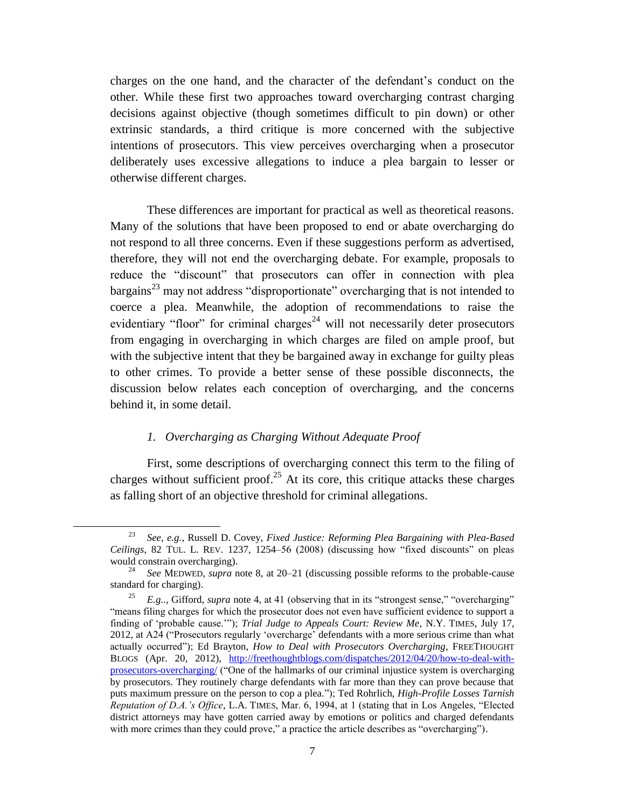charges on the one hand, and the character of the defendant's conduct on the other. While these first two approaches toward overcharging contrast charging decisions against objective (though sometimes difficult to pin down) or other extrinsic standards, a third critique is more concerned with the subjective intentions of prosecutors. This view perceives overcharging when a prosecutor deliberately uses excessive allegations to induce a plea bargain to lesser or otherwise different charges.

These differences are important for practical as well as theoretical reasons. Many of the solutions that have been proposed to end or abate overcharging do not respond to all three concerns. Even if these suggestions perform as advertised, therefore, they will not end the overcharging debate. For example, proposals to reduce the "discount" that prosecutors can offer in connection with plea bargains<sup>23</sup> may not address "disproportionate" overcharging that is not intended to coerce a plea. Meanwhile, the adoption of recommendations to raise the evidentiary "floor" for criminal charges<sup>24</sup> will not necessarily deter prosecutors from engaging in overcharging in which charges are filed on ample proof, but with the subjective intent that they be bargained away in exchange for guilty pleas to other crimes. To provide a better sense of these possible disconnects, the discussion below relates each conception of overcharging, and the concerns behind it, in some detail.

# <span id="page-7-0"></span>*1. Overcharging as Charging Without Adequate Proof*

 $\overline{\phantom{a}}$ 

First, some descriptions of overcharging connect this term to the filing of charges without sufficient proof.<sup>25</sup> At its core, this critique attacks these charges as falling short of an objective threshold for criminal allegations.

<sup>23</sup> *See*, *e.g.*, Russell D. Covey, *Fixed Justice: Reforming Plea Bargaining with Plea-Based Ceilings*, 82 TUL. L. REV. 1237, 1254–56 (2008) (discussing how "fixed discounts" on pleas would constrain overcharging).

<sup>24</sup> *See* MEDWED, *supra* note [8,](#page-3-1) at 20–21 (discussing possible reforms to the probable-cause standard for charging).

<sup>&</sup>lt;sup>25</sup> *E.g..*, Gifford, *supra* note [4,](#page-2-0) at 41 (observing that in its "strongest sense," "overcharging" "means filing charges for which the prosecutor does not even have sufficient evidence to support a finding of 'probable cause.'"); *Trial Judge to Appeals Court: Review Me*, N.Y. TIMES, July 17, 2012, at A24 ("Prosecutors regularly 'overcharge' defendants with a more serious crime than what actually occurred"); Ed Brayton, *How to Deal with Prosecutors Overcharging*, FREETHOUGHT BLOGS (Apr. 20, 2012), [http://freethoughtblogs.com/dispatches/2012/04/20/how-to-deal-with](http://freethoughtblogs.com/dispatches/2012/04/20/how-to-deal-with-prosecutors-overcharging/)[prosecutors-overcharging/](http://freethoughtblogs.com/dispatches/2012/04/20/how-to-deal-with-prosecutors-overcharging/) ("One of the hallmarks of our criminal injustice system is overcharging by prosecutors. They routinely charge defendants with far more than they can prove because that puts maximum pressure on the person to cop a plea."); Ted Rohrlich, *High-Profile Losses Tarnish Reputation of D.A.'s Office*, L.A. TIMES, Mar. 6, 1994, at 1 (stating that in Los Angeles, "Elected district attorneys may have gotten carried away by emotions or politics and charged defendants with more crimes than they could prove," a practice the article describes as "overcharging").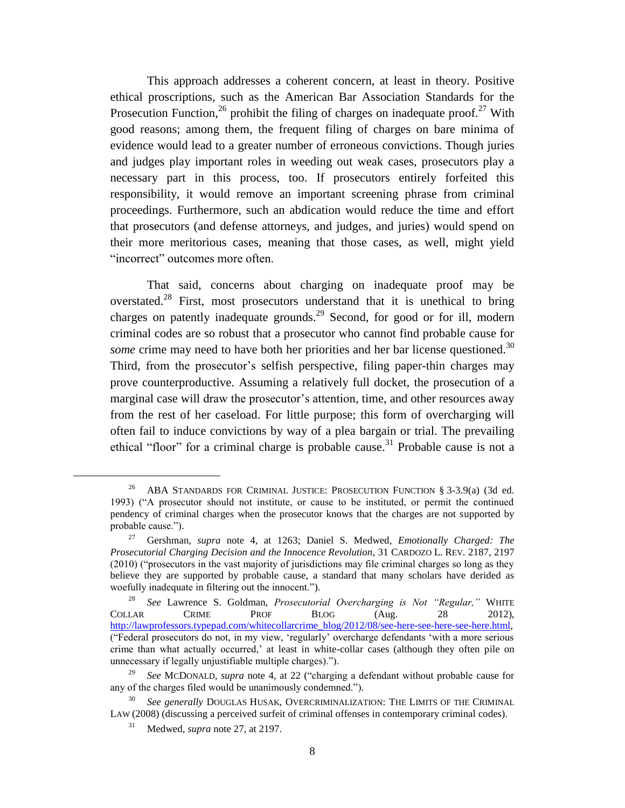<span id="page-8-0"></span>This approach addresses a coherent concern, at least in theory. Positive ethical proscriptions, such as the American Bar Association Standards for the Prosecution Function,  $^{26}$  prohibit the filing of charges on inadequate proof.<sup>27</sup> With good reasons; among them, the frequent filing of charges on bare minima of evidence would lead to a greater number of erroneous convictions. Though juries and judges play important roles in weeding out weak cases, prosecutors play a necessary part in this process, too. If prosecutors entirely forfeited this responsibility, it would remove an important screening phrase from criminal proceedings. Furthermore, such an abdication would reduce the time and effort that prosecutors (and defense attorneys, and judges, and juries) would spend on their more meritorious cases, meaning that those cases, as well, might yield "incorrect" outcomes more often.

<span id="page-8-1"></span>That said, concerns about charging on inadequate proof may be overstated.<sup>28</sup> First, most prosecutors understand that it is unethical to bring charges on patently inadequate grounds.<sup>29</sup> Second, for good or for ill, modern criminal codes are so robust that a prosecutor who cannot find probable cause for *some* crime may need to have both her priorities and her bar license questioned.<sup>30</sup> Third, from the prosecutor's selfish perspective, filing paper-thin charges may prove counterproductive. Assuming a relatively full docket, the prosecution of a marginal case will draw the prosecutor's attention, time, and other resources away from the rest of her caseload. For little purpose; this form of overcharging will often fail to induce convictions by way of a plea bargain or trial. The prevailing ethical "floor" for a criminal charge is probable cause.<sup>31</sup> Probable cause is not a

<sup>&</sup>lt;sup>26</sup> ABA STANDARDS FOR CRIMINAL JUSTICE: PROSECUTION FUNCTION § 3-3.9(a) (3d ed. 1993) ("A prosecutor should not institute, or cause to be instituted, or permit the continued pendency of criminal charges when the prosecutor knows that the charges are not supported by probable cause.").

<sup>27</sup> Gershman, *supra* note [4,](#page-2-0) at 1263; Daniel S. Medwed, *Emotionally Charged: The Prosecutorial Charging Decision and the Innocence Revolution*, 31 CARDOZO L. REV. 2187, 2197 (2010) ("prosecutors in the vast majority of jurisdictions may file criminal charges so long as they believe they are supported by probable cause, a standard that many scholars have derided as woefully inadequate in filtering out the innocent.").

<sup>28</sup> *See* Lawrence S. Goldman, *Prosecutorial Overcharging is Not "Regular,"* WHITE COLLAR CRIME PROF BLOG (Aug. 28 2012), [http://lawprofessors.typepad.com/whitecollarcrime\\_blog/2012/08/see-here-see-here-see-here.html,](http://lawprofessors.typepad.com/whitecollarcrime_blog/2012/08/see-here-see-here-see-here.html)  ("Federal prosecutors do not, in my view, 'regularly' overcharge defendants 'with a more serious crime than what actually occurred,' at least in white-collar cases (although they often pile on unnecessary if legally unjustifiable multiple charges).").

<sup>29</sup> *See* MCDONALD, *supra* note [4,](#page-2-0) at 22 ("charging a defendant without probable cause for any of the charges filed would be unanimously condemned.").

See generally DOUGLAS HUSAK, OVERCRIMINALIZATION: THE LIMITS OF THE CRIMINAL LAW (2008) (discussing a perceived surfeit of criminal offenses in contemporary criminal codes).

Medwed, *supra* note [27,](#page-8-0) at 2197.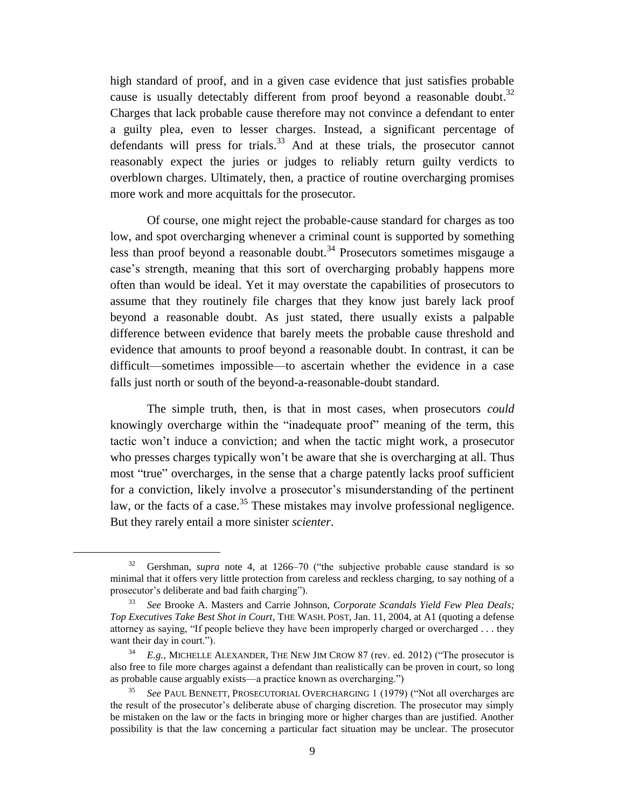high standard of proof, and in a given case evidence that just satisfies probable cause is usually detectably different from proof beyond a reasonable doubt.<sup>32</sup> Charges that lack probable cause therefore may not convince a defendant to enter a guilty plea, even to lesser charges. Instead, a significant percentage of defendants will press for trials.<sup>33</sup> And at these trials, the prosecutor cannot reasonably expect the juries or judges to reliably return guilty verdicts to overblown charges. Ultimately, then, a practice of routine overcharging promises more work and more acquittals for the prosecutor.

Of course, one might reject the probable-cause standard for charges as too low, and spot overcharging whenever a criminal count is supported by something less than proof beyond a reasonable doubt.<sup>34</sup> Prosecutors sometimes misgauge a case's strength, meaning that this sort of overcharging probably happens more often than would be ideal. Yet it may overstate the capabilities of prosecutors to assume that they routinely file charges that they know just barely lack proof beyond a reasonable doubt. As just stated, there usually exists a palpable difference between evidence that barely meets the probable cause threshold and evidence that amounts to proof beyond a reasonable doubt. In contrast, it can be difficult—sometimes impossible—to ascertain whether the evidence in a case falls just north or south of the beyond-a-reasonable-doubt standard.

The simple truth, then, is that in most cases, when prosecutors *could* knowingly overcharge within the "inadequate proof" meaning of the term, this tactic won't induce a conviction; and when the tactic might work, a prosecutor who presses charges typically won't be aware that she is overcharging at all. Thus most "true" overcharges, in the sense that a charge patently lacks proof sufficient for a conviction, likely involve a prosecutor's misunderstanding of the pertinent law, or the facts of a case.<sup>35</sup> These mistakes may involve professional negligence. But they rarely entail a more sinister *scienter*.

<span id="page-9-0"></span><sup>32</sup> Gershman, *supra* note [4,](#page-2-0) at 1266–70 ("the subjective probable cause standard is so minimal that it offers very little protection from careless and reckless charging, to say nothing of a prosecutor's deliberate and bad faith charging").

<sup>33</sup> *See* Brooke A. Masters and Carrie Johnson, *Corporate Scandals Yield Few Plea Deals; Top Executives Take Best Shot in Court*, THE WASH. POST, Jan. 11, 2004, at A1 (quoting a defense attorney as saying, "If people believe they have been improperly charged or overcharged . . . they want their day in court.").

<sup>34</sup> *E.g.*, MICHELLE ALEXANDER, THE NEW JIM CROW 87 (rev. ed. 2012) ("The prosecutor is also free to file more charges against a defendant than realistically can be proven in court, so long as probable cause arguably exists—a practice known as overcharging.")

<sup>35</sup> *See* PAUL BENNETT, PROSECUTORIAL OVERCHARGING 1 (1979) ("Not all overcharges are the result of the prosecutor's deliberate abuse of charging discretion. The prosecutor may simply be mistaken on the law or the facts in bringing more or higher charges than are justified. Another possibility is that the law concerning a particular fact situation may be unclear. The prosecutor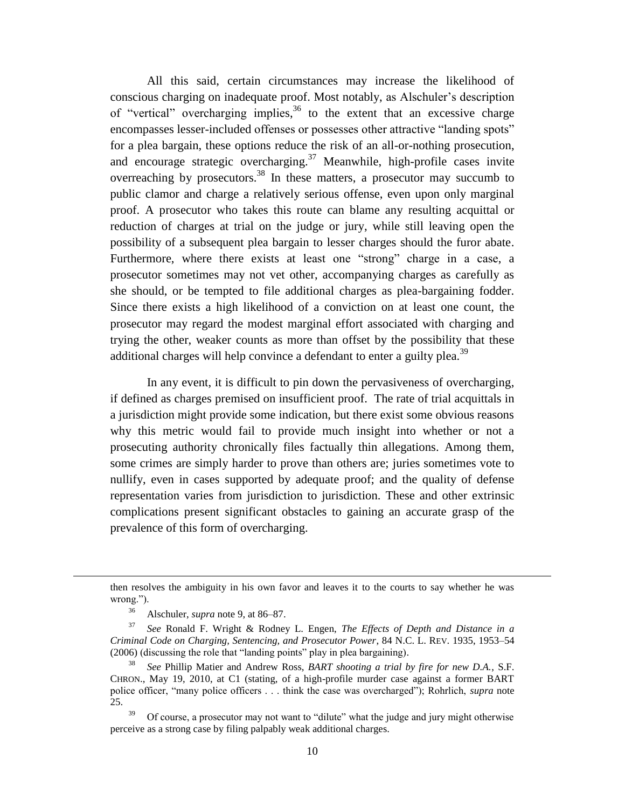All this said, certain circumstances may increase the likelihood of conscious charging on inadequate proof. Most notably, as Alschuler's description of "vertical" overcharging implies,  $36$  to the extent that an excessive charge encompasses lesser-included offenses or possesses other attractive "landing spots" for a plea bargain, these options reduce the risk of an all-or-nothing prosecution, and encourage strategic overcharging.<sup>37</sup> Meanwhile, high-profile cases invite overreaching by prosecutors.<sup>38</sup> In these matters, a prosecutor may succumb to public clamor and charge a relatively serious offense, even upon only marginal proof. A prosecutor who takes this route can blame any resulting acquittal or reduction of charges at trial on the judge or jury, while still leaving open the possibility of a subsequent plea bargain to lesser charges should the furor abate. Furthermore, where there exists at least one "strong" charge in a case, a prosecutor sometimes may not vet other, accompanying charges as carefully as she should, or be tempted to file additional charges as plea-bargaining fodder. Since there exists a high likelihood of a conviction on at least one count, the prosecutor may regard the modest marginal effort associated with charging and trying the other, weaker counts as more than offset by the possibility that these additional charges will help convince a defendant to enter a guilty plea.<sup>39</sup>

In any event, it is difficult to pin down the pervasiveness of overcharging, if defined as charges premised on insufficient proof. The rate of trial acquittals in a jurisdiction might provide some indication, but there exist some obvious reasons why this metric would fail to provide much insight into whether or not a prosecuting authority chronically files factually thin allegations. Among them, some crimes are simply harder to prove than others are; juries sometimes vote to nullify, even in cases supported by adequate proof; and the quality of defense representation varies from jurisdiction to jurisdiction. These and other extrinsic complications present significant obstacles to gaining an accurate grasp of the prevalence of this form of overcharging.

then resolves the ambiguity in his own favor and leaves it to the courts to say whether he was wrong.").

<sup>36</sup> Alschuler, *supra* note [9,](#page-3-0) at 86–87.

<sup>37</sup> *See* Ronald F. Wright & Rodney L. Engen, *The Effects of Depth and Distance in a Criminal Code on Charging, Sentencing, and Prosecutor Power*, 84 N.C. L. REV. 1935, 1953–54 (2006) (discussing the role that "landing points" play in plea bargaining).

<sup>38</sup> *See* Phillip Matier and Andrew Ross, *BART shooting a trial by fire for new D.A.*, S.F. CHRON., May 19, 2010, at C1 (stating, of a high-profile murder case against a former BART police officer, "many police officers . . . think the case was overcharged"); Rohrlich, *supra* note [25.](#page-7-0)

<sup>39</sup> Of course, a prosecutor may not want to "dilute" what the judge and jury might otherwise perceive as a strong case by filing palpably weak additional charges.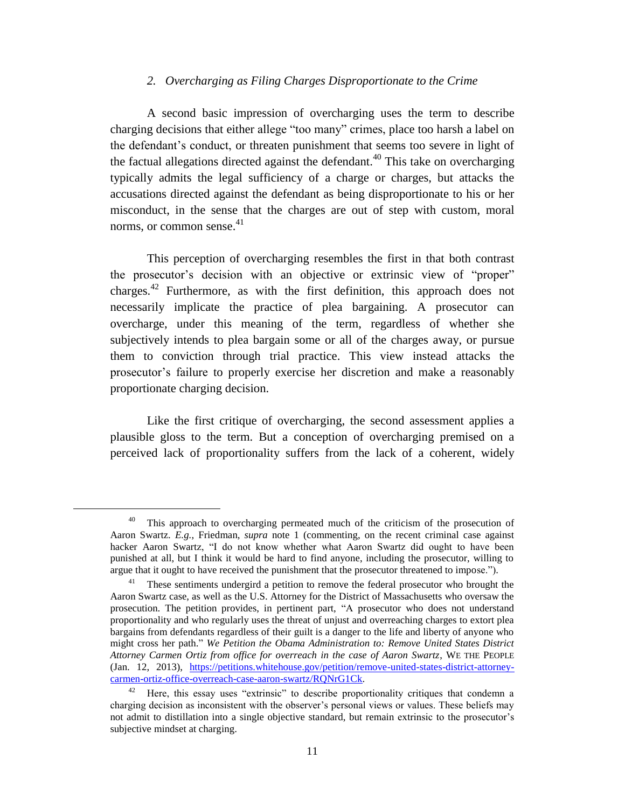# *2. Overcharging as Filing Charges Disproportionate to the Crime*

A second basic impression of overcharging uses the term to describe charging decisions that either allege "too many" crimes, place too harsh a label on the defendant's conduct, or threaten punishment that seems too severe in light of the factual allegations directed against the defendant.<sup>40</sup> This take on overcharging typically admits the legal sufficiency of a charge or charges, but attacks the accusations directed against the defendant as being disproportionate to his or her misconduct, in the sense that the charges are out of step with custom, moral norms, or common sense.<sup>41</sup>

This perception of overcharging resembles the first in that both contrast the prosecutor's decision with an objective or extrinsic view of "proper" charges.<sup>42</sup> Furthermore, as with the first definition, this approach does not necessarily implicate the practice of plea bargaining. A prosecutor can overcharge, under this meaning of the term, regardless of whether she subjectively intends to plea bargain some or all of the charges away, or pursue them to conviction through trial practice. This view instead attacks the prosecutor's failure to properly exercise her discretion and make a reasonably proportionate charging decision.

Like the first critique of overcharging, the second assessment applies a plausible gloss to the term. But a conception of overcharging premised on a perceived lack of proportionality suffers from the lack of a coherent, widely

<sup>&</sup>lt;sup>40</sup> This approach to overcharging permeated much of the criticism of the prosecution of Aaron Swartz. *E.g.*, Friedman, *supra* note [1](#page-1-0) (commenting, on the recent criminal case against hacker Aaron Swartz, "I do not know whether what Aaron Swartz did ought to have been punished at all, but I think it would be hard to find anyone, including the prosecutor, willing to argue that it ought to have received the punishment that the prosecutor threatened to impose.").

<sup>&</sup>lt;sup>41</sup> These sentiments undergird a petition to remove the federal prosecutor who brought the Aaron Swartz case, as well as the U.S. Attorney for the District of Massachusetts who oversaw the prosecution. The petition provides, in pertinent part, "A prosecutor who does not understand proportionality and who regularly uses the threat of unjust and overreaching charges to extort plea bargains from defendants regardless of their guilt is a danger to the life and liberty of anyone who might cross her path." *We Petition the Obama Administration to: Remove United States District Attorney Carmen Ortiz from office for overreach in the case of Aaron Swartz*, WE THE PEOPLE (Jan. 12, 2013), [https://petitions.whitehouse.gov/petition/remove-united-states-district-attorney](https://petitions.whitehouse.gov/petition/remove-united-states-district-attorney-carmen-ortiz-office-overreach-case-aaron-swartz/RQNrG1Ck)[carmen-ortiz-office-overreach-case-aaron-swartz/RQNrG1Ck.](https://petitions.whitehouse.gov/petition/remove-united-states-district-attorney-carmen-ortiz-office-overreach-case-aaron-swartz/RQNrG1Ck)

<sup>&</sup>lt;sup>42</sup> Here, this essay uses "extrinsic" to describe proportionality critiques that condemn a charging decision as inconsistent with the observer's personal views or values. These beliefs may not admit to distillation into a single objective standard, but remain extrinsic to the prosecutor's subjective mindset at charging.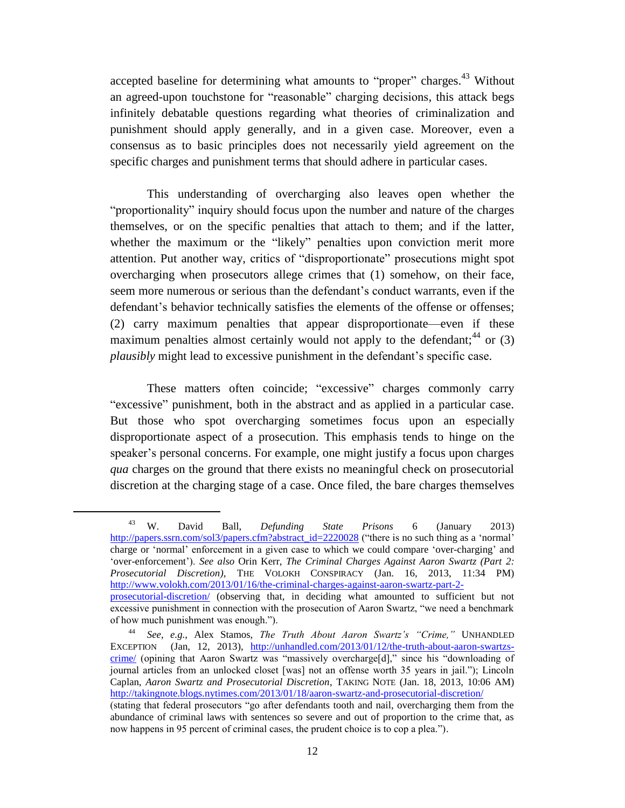accepted baseline for determining what amounts to "proper" charges.<sup>43</sup> Without an agreed-upon touchstone for "reasonable" charging decisions, this attack begs infinitely debatable questions regarding what theories of criminalization and punishment should apply generally, and in a given case. Moreover, even a consensus as to basic principles does not necessarily yield agreement on the specific charges and punishment terms that should adhere in particular cases.

This understanding of overcharging also leaves open whether the "proportionality" inquiry should focus upon the number and nature of the charges themselves, or on the specific penalties that attach to them; and if the latter, whether the maximum or the "likely" penalties upon conviction merit more attention. Put another way, critics of "disproportionate" prosecutions might spot overcharging when prosecutors allege crimes that (1) somehow, on their face, seem more numerous or serious than the defendant's conduct warrants, even if the defendant's behavior technically satisfies the elements of the offense or offenses; (2) carry maximum penalties that appear disproportionate—even if these maximum penalties almost certainly would not apply to the defendant;  $44$  or (3) *plausibly* might lead to excessive punishment in the defendant's specific case.

These matters often coincide; "excessive" charges commonly carry "excessive" punishment, both in the abstract and as applied in a particular case. But those who spot overcharging sometimes focus upon an especially disproportionate aspect of a prosecution. This emphasis tends to hinge on the speaker's personal concerns. For example, one might justify a focus upon charges *qua* charges on the ground that there exists no meaningful check on prosecutorial discretion at the charging stage of a case. Once filed, the bare charges themselves

<sup>43</sup> W. David Ball, *Defunding State Prisons* 6 (January 2013) [http://papers.ssrn.com/sol3/papers.cfm?abstract\\_id=2220028](http://papers.ssrn.com/sol3/papers.cfm?abstract_id=2220028) ("there is no such thing as a 'normal' charge or 'normal' enforcement in a given case to which we could compare 'over-charging' and 'over-enforcement'). *See also* Orin Kerr, *The Criminal Charges Against Aaron Swartz (Part 2: Prosecutorial Discretion)*, THE VOLOKH CONSPIRACY (Jan. 16, 2013, 11:34 PM) [http://www.volokh.com/2013/01/16/the-criminal-charges-against-aaron-swartz-part-2](http://www.volokh.com/2013/01/16/the-criminal-charges-against-aaron-swartz-part-2-prosecutorial-discretion/) [prosecutorial-discretion/](http://www.volokh.com/2013/01/16/the-criminal-charges-against-aaron-swartz-part-2-prosecutorial-discretion/) (observing that, in deciding what amounted to sufficient but not excessive punishment in connection with the prosecution of Aaron Swartz, "we need a benchmark of how much punishment was enough.").

<sup>44</sup> *See*, *e.g.*, Alex Stamos, *The Truth About Aaron Swartz's "Crime,"* UNHANDLED EXCEPTION (Jan, 12, 2013), [http://unhandled.com/2013/01/12/the-truth-about-aaron-swartzs](http://unhandled.com/2013/01/12/the-truth-about-aaron-swartzs-crime/)[crime/](http://unhandled.com/2013/01/12/the-truth-about-aaron-swartzs-crime/) (opining that Aaron Swartz was "massively overcharge[d]," since his "downloading of journal articles from an unlocked closet [was] not an offense worth 35 years in jail."); Lincoln Caplan, *Aaron Swartz and Prosecutorial Discretion*, TAKING NOTE (Jan. 18, 2013, 10:06 AM) <http://takingnote.blogs.nytimes.com/2013/01/18/aaron-swartz-and-prosecutorial-discretion/>

<sup>(</sup>stating that federal prosecutors "go after defendants tooth and nail, overcharging them from the abundance of criminal laws with sentences so severe and out of proportion to the crime that, as now happens in 95 percent of criminal cases, the prudent choice is to cop a plea.").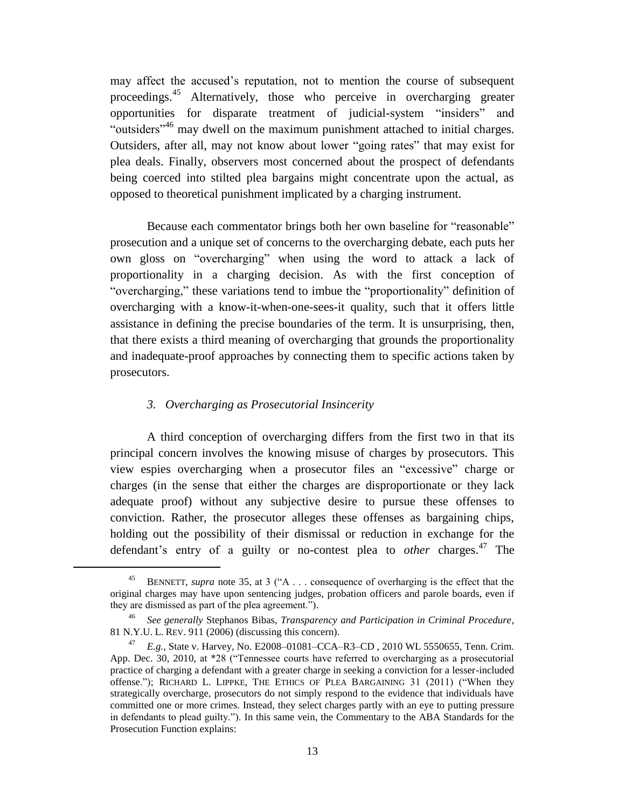may affect the accused's reputation, not to mention the course of subsequent proceedings.<sup>45</sup> Alternatively, those who perceive in overcharging greater opportunities for disparate treatment of judicial-system "insiders" and "outsiders"<sup>46</sup> may dwell on the maximum punishment attached to initial charges. Outsiders, after all, may not know about lower "going rates" that may exist for plea deals. Finally, observers most concerned about the prospect of defendants being coerced into stilted plea bargains might concentrate upon the actual, as opposed to theoretical punishment implicated by a charging instrument.

Because each commentator brings both her own baseline for "reasonable" prosecution and a unique set of concerns to the overcharging debate, each puts her own gloss on "overcharging" when using the word to attack a lack of proportionality in a charging decision. As with the first conception of "overcharging," these variations tend to imbue the "proportionality" definition of overcharging with a know-it-when-one-sees-it quality, such that it offers little assistance in defining the precise boundaries of the term. It is unsurprising, then, that there exists a third meaning of overcharging that grounds the proportionality and inadequate-proof approaches by connecting them to specific actions taken by prosecutors.

# <span id="page-13-0"></span>*3. Overcharging as Prosecutorial Insincerity*

 $\overline{\phantom{a}}$ 

A third conception of overcharging differs from the first two in that its principal concern involves the knowing misuse of charges by prosecutors. This view espies overcharging when a prosecutor files an "excessive" charge or charges (in the sense that either the charges are disproportionate or they lack adequate proof) without any subjective desire to pursue these offenses to conviction. Rather, the prosecutor alleges these offenses as bargaining chips, holding out the possibility of their dismissal or reduction in exchange for the defendant's entry of a guilty or no-contest plea to *other* charges. <sup>47</sup> The

BENNETT, *supra* note [35,](#page-9-0) at 3 ("A . . . consequence of overharging is the effect that the original charges may have upon sentencing judges, probation officers and parole boards, even if they are dismissed as part of the plea agreement.").

<sup>46</sup> *See generally* Stephanos Bibas, *Transparency and Participation in Criminal Procedure*, 81 N.Y.U. L. REV. 911 (2006) (discussing this concern).

<sup>47</sup> *E.g.*, State v. Harvey, No. E2008–01081–CCA–R3–CD , 2010 WL 5550655, Tenn. Crim. App. Dec. 30, 2010, at \*28 ("Tennessee courts have referred to overcharging as a prosecutorial practice of charging a defendant with a greater charge in seeking a conviction for a lesser-included offense."); RICHARD L. LIPPKE, THE ETHICS OF PLEA BARGAINING 31 (2011) ("When they strategically overcharge, prosecutors do not simply respond to the evidence that individuals have committed one or more crimes. Instead, they select charges partly with an eye to putting pressure in defendants to plead guilty."). In this same vein, the Commentary to the ABA Standards for the Prosecution Function explains: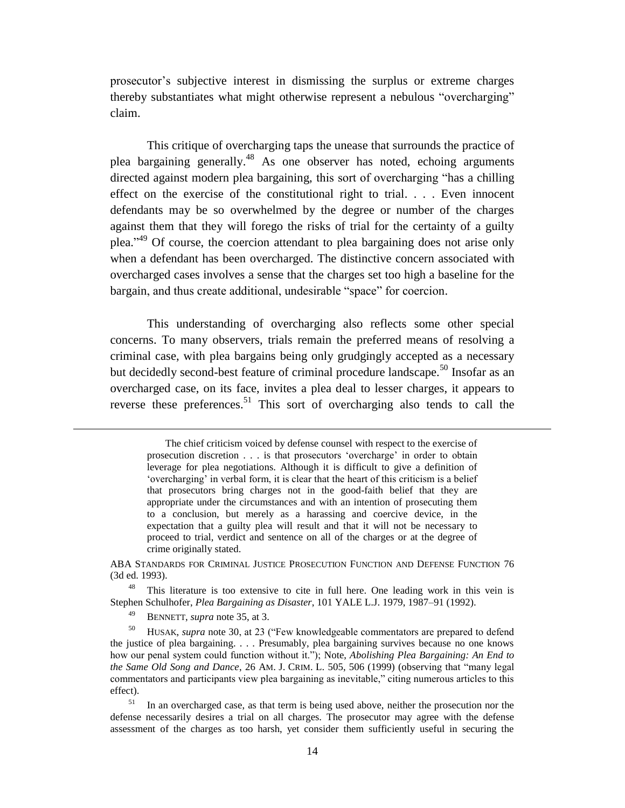prosecutor's subjective interest in dismissing the surplus or extreme charges thereby substantiates what might otherwise represent a nebulous "overcharging" claim.

This critique of overcharging taps the unease that surrounds the practice of plea bargaining generally.<sup>48</sup> As one observer has noted, echoing arguments directed against modern plea bargaining, this sort of overcharging "has a chilling effect on the exercise of the constitutional right to trial. . . . Even innocent defendants may be so overwhelmed by the degree or number of the charges against them that they will forego the risks of trial for the certainty of a guilty plea."<sup>49</sup> Of course, the coercion attendant to plea bargaining does not arise only when a defendant has been overcharged. The distinctive concern associated with overcharged cases involves a sense that the charges set too high a baseline for the bargain, and thus create additional, undesirable "space" for coercion.

This understanding of overcharging also reflects some other special concerns. To many observers, trials remain the preferred means of resolving a criminal case, with plea bargains being only grudgingly accepted as a necessary but decidedly second-best feature of criminal procedure landscape.<sup>50</sup> Insofar as an overcharged case, on its face, invites a plea deal to lesser charges, it appears to reverse these preferences.<sup>51</sup> This sort of overcharging also tends to call the

ABA STANDARDS FOR CRIMINAL JUSTICE PROSECUTION FUNCTION AND DEFENSE FUNCTION 76 (3d ed. 1993).

<sup>48</sup> This literature is too extensive to cite in full here. One leading work in this vein is Stephen Schulhofer, *Plea Bargaining as Disaster*, 101 YALE L.J. 1979, 1987–91 (1992).

BENNETT, *supra* note [35,](#page-9-0) at 3.

 $\overline{a}$ 

<sup>50</sup> HUSAK, *supra* note [30,](#page-8-1) at 23 ("Few knowledgeable commentators are prepared to defend the justice of plea bargaining. . . . Presumably, plea bargaining survives because no one knows how our penal system could function without it."); Note, *Abolishing Plea Bargaining: An End to the Same Old Song and Dance*, 26 AM. J. CRIM. L. 505, 506 (1999) (observing that "many legal commentators and participants view plea bargaining as inevitable," citing numerous articles to this effect).

<sup>51</sup> In an overcharged case, as that term is being used above, neither the prosecution nor the defense necessarily desires a trial on all charges. The prosecutor may agree with the defense assessment of the charges as too harsh, yet consider them sufficiently useful in securing the

The chief criticism voiced by defense counsel with respect to the exercise of prosecution discretion . . . is that prosecutors 'overcharge' in order to obtain leverage for plea negotiations. Although it is difficult to give a definition of 'overcharging' in verbal form, it is clear that the heart of this criticism is a belief that prosecutors bring charges not in the good-faith belief that they are appropriate under the circumstances and with an intention of prosecuting them to a conclusion, but merely as a harassing and coercive device, in the expectation that a guilty plea will result and that it will not be necessary to proceed to trial, verdict and sentence on all of the charges or at the degree of crime originally stated.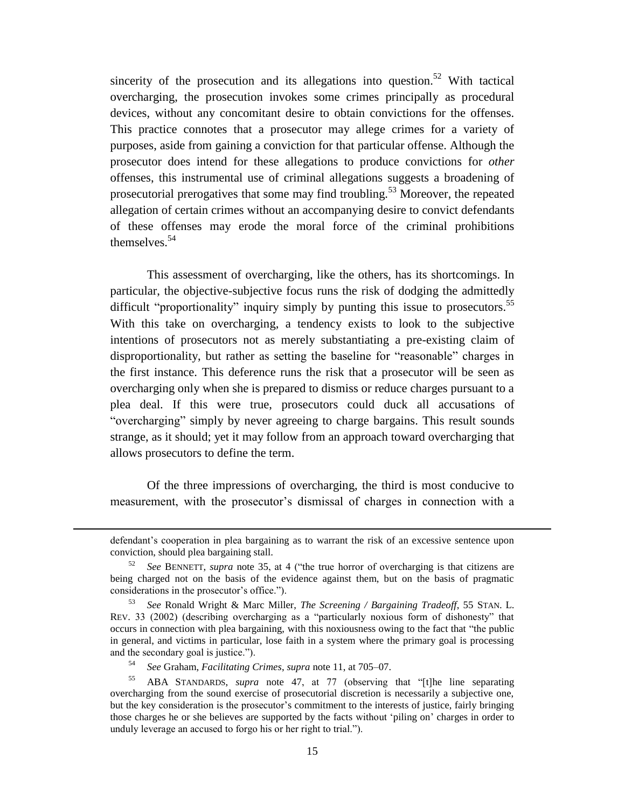sincerity of the prosecution and its allegations into question.<sup>52</sup> With tactical overcharging, the prosecution invokes some crimes principally as procedural devices, without any concomitant desire to obtain convictions for the offenses. This practice connotes that a prosecutor may allege crimes for a variety of purposes, aside from gaining a conviction for that particular offense. Although the prosecutor does intend for these allegations to produce convictions for *other* offenses, this instrumental use of criminal allegations suggests a broadening of prosecutorial prerogatives that some may find troubling.<sup>53</sup> Moreover, the repeated allegation of certain crimes without an accompanying desire to convict defendants of these offenses may erode the moral force of the criminal prohibitions themselves. 54

This assessment of overcharging, like the others, has its shortcomings. In particular, the objective-subjective focus runs the risk of dodging the admittedly difficult "proportionality" inquiry simply by punting this issue to prosecutors.<sup>55</sup> With this take on overcharging, a tendency exists to look to the subjective intentions of prosecutors not as merely substantiating a pre-existing claim of disproportionality, but rather as setting the baseline for "reasonable" charges in the first instance. This deference runs the risk that a prosecutor will be seen as overcharging only when she is prepared to dismiss or reduce charges pursuant to a plea deal. If this were true, prosecutors could duck all accusations of "overcharging" simply by never agreeing to charge bargains. This result sounds strange, as it should; yet it may follow from an approach toward overcharging that allows prosecutors to define the term.

Of the three impressions of overcharging, the third is most conducive to measurement, with the prosecutor's dismissal of charges in connection with a

defendant's cooperation in plea bargaining as to warrant the risk of an excessive sentence upon conviction, should plea bargaining stall.

<sup>52</sup> *See* BENNETT, *supra* note [35,](#page-9-0) at 4 ("the true horror of overcharging is that citizens are being charged not on the basis of the evidence against them, but on the basis of pragmatic considerations in the prosecutor's office.").

<sup>53</sup> *See* Ronald Wright & Marc Miller, *The Screening / Bargaining Tradeoff*, 55 STAN. L. REV. 33 (2002) (describing overcharging as a "particularly noxious form of dishonesty" that occurs in connection with plea bargaining, with this noxiousness owing to the fact that "the public in general, and victims in particular, lose faith in a system where the primary goal is processing and the secondary goal is justice.").

<sup>54</sup> *See* Graham, *Facilitating Crimes*, *supra* note [11,](#page-4-0) at 705–07.

<sup>55</sup> ABA STANDARDS, *supra* note [47,](#page-13-0) at 77 (observing that "[t]he line separating overcharging from the sound exercise of prosecutorial discretion is necessarily a subjective one, but the key consideration is the prosecutor's commitment to the interests of justice, fairly bringing those charges he or she believes are supported by the facts without 'piling on' charges in order to unduly leverage an accused to forgo his or her right to trial.").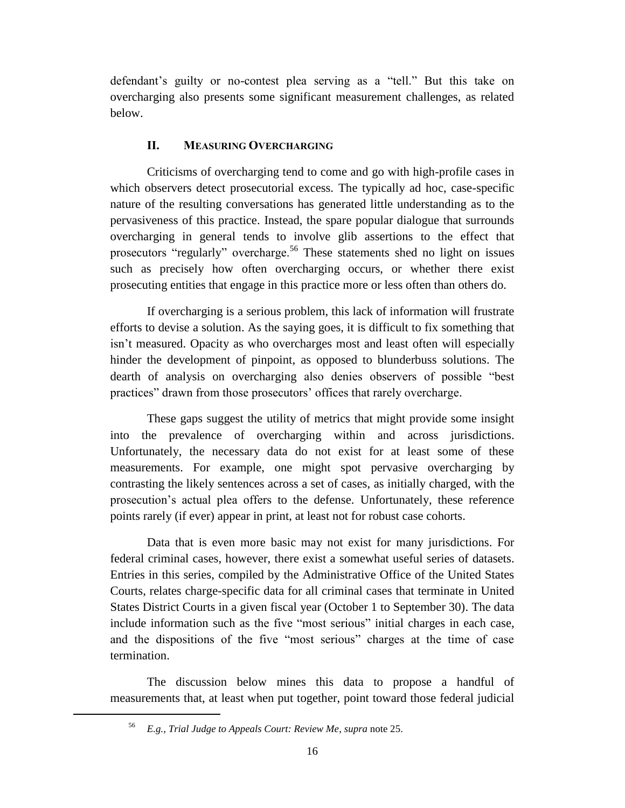defendant's guilty or no-contest plea serving as a "tell." But this take on overcharging also presents some significant measurement challenges, as related below.

# **II. MEASURING OVERCHARGING**

Criticisms of overcharging tend to come and go with high-profile cases in which observers detect prosecutorial excess. The typically ad hoc, case-specific nature of the resulting conversations has generated little understanding as to the pervasiveness of this practice. Instead, the spare popular dialogue that surrounds overcharging in general tends to involve glib assertions to the effect that prosecutors "regularly" overcharge.<sup>56</sup> These statements shed no light on issues such as precisely how often overcharging occurs, or whether there exist prosecuting entities that engage in this practice more or less often than others do.

If overcharging is a serious problem, this lack of information will frustrate efforts to devise a solution. As the saying goes, it is difficult to fix something that isn't measured. Opacity as who overcharges most and least often will especially hinder the development of pinpoint, as opposed to blunderbuss solutions. The dearth of analysis on overcharging also denies observers of possible "best practices" drawn from those prosecutors' offices that rarely overcharge.

These gaps suggest the utility of metrics that might provide some insight into the prevalence of overcharging within and across jurisdictions. Unfortunately, the necessary data do not exist for at least some of these measurements. For example, one might spot pervasive overcharging by contrasting the likely sentences across a set of cases, as initially charged, with the prosecution's actual plea offers to the defense. Unfortunately, these reference points rarely (if ever) appear in print, at least not for robust case cohorts.

Data that is even more basic may not exist for many jurisdictions. For federal criminal cases, however, there exist a somewhat useful series of datasets. Entries in this series, compiled by the Administrative Office of the United States Courts, relates charge-specific data for all criminal cases that terminate in United States District Courts in a given fiscal year (October 1 to September 30). The data include information such as the five "most serious" initial charges in each case, and the dispositions of the five "most serious" charges at the time of case termination.

The discussion below mines this data to propose a handful of measurements that, at least when put together, point toward those federal judicial

<sup>56</sup> *E.g.*, *Trial Judge to Appeals Court: Review Me*, *supra* note [25.](#page-7-0)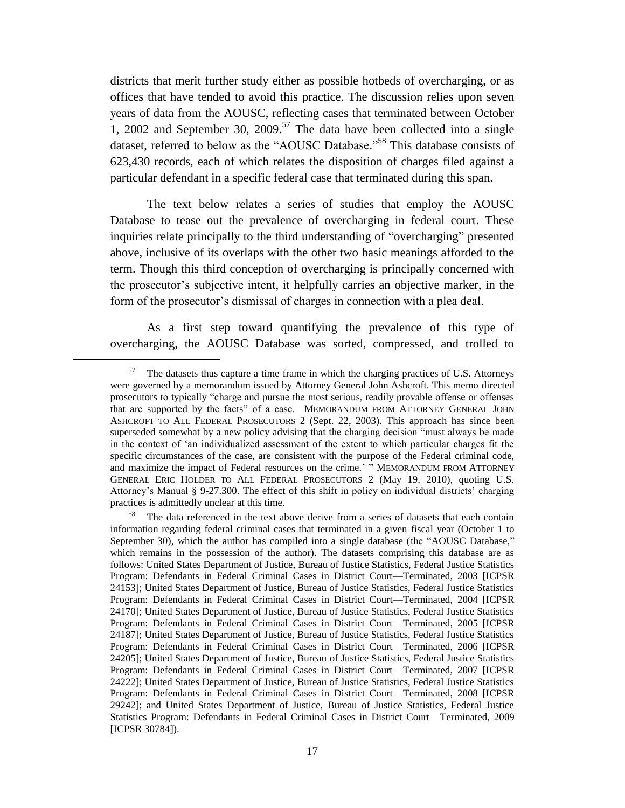districts that merit further study either as possible hotbeds of overcharging, or as offices that have tended to avoid this practice. The discussion relies upon seven years of data from the AOUSC, reflecting cases that terminated between October 1, 2002 and September 30, 2009.<sup>57</sup> The data have been collected into a single dataset, referred to below as the "AOUSC Database."<sup>58</sup> This database consists of 623,430 records, each of which relates the disposition of charges filed against a particular defendant in a specific federal case that terminated during this span.

<span id="page-17-0"></span>The text below relates a series of studies that employ the AOUSC Database to tease out the prevalence of overcharging in federal court. These inquiries relate principally to the third understanding of "overcharging" presented above, inclusive of its overlaps with the other two basic meanings afforded to the term. Though this third conception of overcharging is principally concerned with the prosecutor's subjective intent, it helpfully carries an objective marker, in the form of the prosecutor's dismissal of charges in connection with a plea deal.

As a first step toward quantifying the prevalence of this type of overcharging, the AOUSC Database was sorted, compressed, and trolled to

 $57$  The datasets thus capture a time frame in which the charging practices of U.S. Attorneys were governed by a memorandum issued by Attorney General John Ashcroft. This memo directed prosecutors to typically "charge and pursue the most serious, readily provable offense or offenses that are supported by the facts" of a case. MEMORANDUM FROM ATTORNEY GENERAL JOHN ASHCROFT TO ALL FEDERAL PROSECUTORS 2 (Sept. 22, 2003). This approach has since been superseded somewhat by a new policy advising that the charging decision "must always be made in the context of 'an individualized assessment of the extent to which particular charges fit the specific circumstances of the case, are consistent with the purpose of the Federal criminal code, and maximize the impact of Federal resources on the crime.' " MEMORANDUM FROM ATTORNEY GENERAL ERIC HOLDER TO ALL FEDERAL PROSECUTORS 2 (May 19, 2010), quoting U.S. Attorney's Manual § 9-27.300. The effect of this shift in policy on individual districts' charging practices is admittedly unclear at this time.

The data referenced in the text above derive from a series of datasets that each contain information regarding federal criminal cases that terminated in a given fiscal year (October 1 to September 30), which the author has compiled into a single database (the "AOUSC Database," which remains in the possession of the author). The datasets comprising this database are as follows: United States Department of Justice, Bureau of Justice Statistics, Federal Justice Statistics Program: Defendants in Federal Criminal Cases in District Court—Terminated, 2003 [ICPSR 24153]; United States Department of Justice, Bureau of Justice Statistics, Federal Justice Statistics Program: Defendants in Federal Criminal Cases in District Court—Terminated, 2004 [ICPSR 24170]; United States Department of Justice, Bureau of Justice Statistics, Federal Justice Statistics Program: Defendants in Federal Criminal Cases in District Court—Terminated, 2005 [ICPSR 24187]; United States Department of Justice, Bureau of Justice Statistics, Federal Justice Statistics Program: Defendants in Federal Criminal Cases in District Court—Terminated, 2006 [ICPSR 24205]; United States Department of Justice, Bureau of Justice Statistics, Federal Justice Statistics Program: Defendants in Federal Criminal Cases in District Court—Terminated, 2007 [ICPSR 24222]; United States Department of Justice, Bureau of Justice Statistics, Federal Justice Statistics Program: Defendants in Federal Criminal Cases in District Court—Terminated, 2008 [ICPSR 29242]; and United States Department of Justice, Bureau of Justice Statistics, Federal Justice Statistics Program: Defendants in Federal Criminal Cases in District Court—Terminated, 2009 [ICPSR 30784]).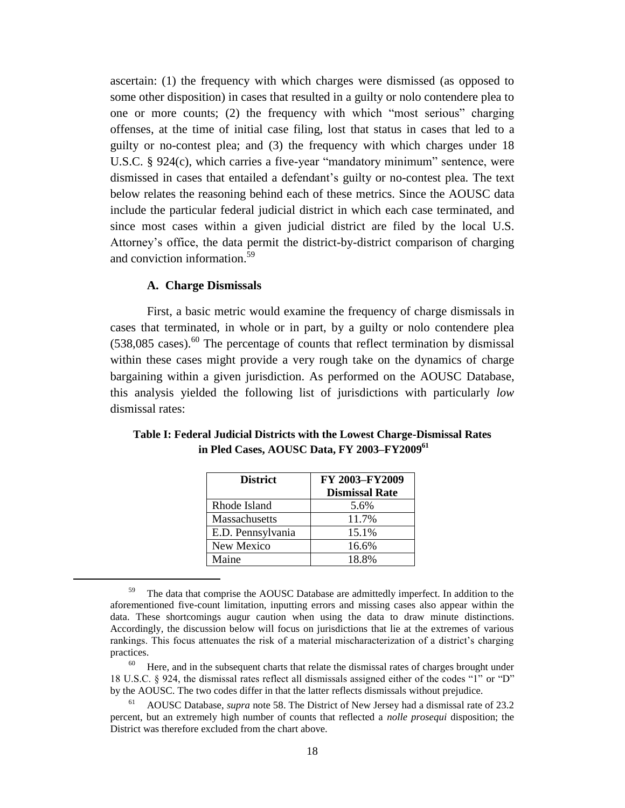ascertain: (1) the frequency with which charges were dismissed (as opposed to some other disposition) in cases that resulted in a guilty or nolo contendere plea to one or more counts; (2) the frequency with which "most serious" charging offenses, at the time of initial case filing, lost that status in cases that led to a guilty or no-contest plea; and (3) the frequency with which charges under 18 U.S.C. § 924(c), which carries a five-year "mandatory minimum" sentence, were dismissed in cases that entailed a defendant's guilty or no-contest plea. The text below relates the reasoning behind each of these metrics. Since the AOUSC data include the particular federal judicial district in which each case terminated, and since most cases within a given judicial district are filed by the local U.S. Attorney's office, the data permit the district-by-district comparison of charging and conviction information. 59

#### **A. Charge Dismissals**

 $\overline{a}$ 

First, a basic metric would examine the frequency of charge dismissals in cases that terminated, in whole or in part, by a guilty or nolo contendere plea  $(538,085 \text{ cases})$ .<sup>60</sup> The percentage of counts that reflect termination by dismissal within these cases might provide a very rough take on the dynamics of charge bargaining within a given jurisdiction. As performed on the AOUSC Database, this analysis yielded the following list of jurisdictions with particularly *low* dismissal rates:

| <b>District</b>      | FY 2003-FY2009        |
|----------------------|-----------------------|
|                      | <b>Dismissal Rate</b> |
| Rhode Island         | 5.6%                  |
| <b>Massachusetts</b> | 11.7%                 |
| E.D. Pennsylvania    | 15.1%                 |
| New Mexico           | 16.6%                 |
| Maine                | 18.8%                 |

**Table I: Federal Judicial Districts with the Lowest Charge-Dismissal Rates in Pled Cases, AOUSC Data, FY 2003–FY2009<sup>61</sup>**

<sup>&</sup>lt;sup>59</sup> The data that comprise the AOUSC Database are admittedly imperfect. In addition to the aforementioned five-count limitation, inputting errors and missing cases also appear within the data. These shortcomings augur caution when using the data to draw minute distinctions. Accordingly, the discussion below will focus on jurisdictions that lie at the extremes of various rankings. This focus attenuates the risk of a material mischaracterization of a district's charging practices.

Here, and in the subsequent charts that relate the dismissal rates of charges brought under 18 U.S.C. § 924, the dismissal rates reflect all dismissals assigned either of the codes "1" or "D" by the AOUSC. The two codes differ in that the latter reflects dismissals without prejudice.

<sup>61</sup> AOUSC Database, *supra* note [58.](#page-17-0) The District of New Jersey had a dismissal rate of 23.2 percent, but an extremely high number of counts that reflected a *nolle prosequi* disposition; the District was therefore excluded from the chart above.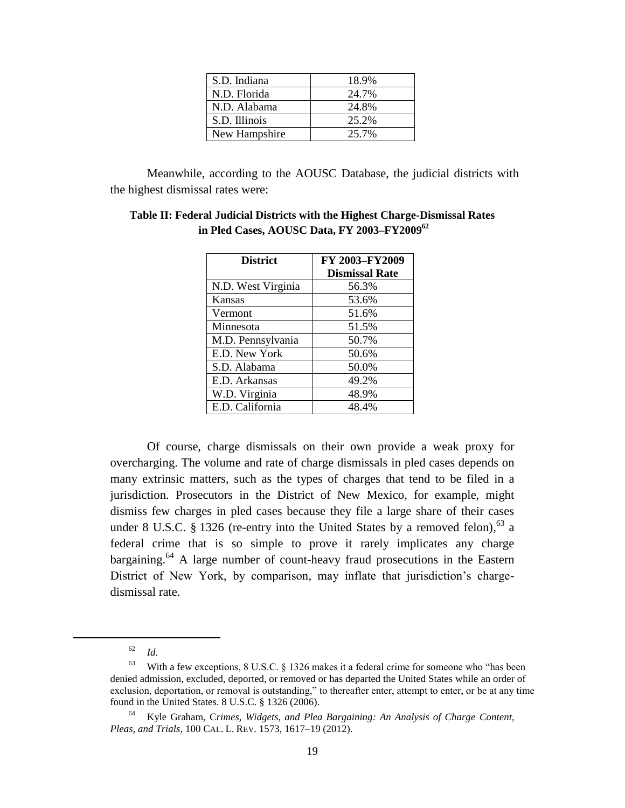| S.D. Indiana<br>18.9%<br>N.D. Florida<br>24.7%<br>24.8%<br>N.D. Alabama<br>25.2%<br>S.D. Illinois<br>25.7%<br>New Hampshire |  |
|-----------------------------------------------------------------------------------------------------------------------------|--|
|                                                                                                                             |  |
|                                                                                                                             |  |
|                                                                                                                             |  |
|                                                                                                                             |  |
|                                                                                                                             |  |

Meanwhile, according to the AOUSC Database, the judicial districts with the highest dismissal rates were:

| <b>District</b>    | FY 2003-FY2009        |
|--------------------|-----------------------|
|                    | <b>Dismissal Rate</b> |
| N.D. West Virginia | 56.3%                 |
| Kansas             | 53.6%                 |
| Vermont            | 51.6%                 |
| Minnesota          | 51.5%                 |
| M.D. Pennsylvania  | 50.7%                 |
| E.D. New York      | 50.6%                 |
| S.D. Alabama       | 50.0%                 |
| E.D. Arkansas      | 49.2%                 |
| W.D. Virginia      | 48.9%                 |
| E.D. California    | 48.4%                 |

| Table II: Federal Judicial Districts with the Highest Charge-Dismissal Rates |
|------------------------------------------------------------------------------|
| in Pled Cases, AOUSC Data, FY 2003-FY2009 <sup>62</sup>                      |

Of course, charge dismissals on their own provide a weak proxy for overcharging. The volume and rate of charge dismissals in pled cases depends on many extrinsic matters, such as the types of charges that tend to be filed in a jurisdiction. Prosecutors in the District of New Mexico, for example, might dismiss few charges in pled cases because they file a large share of their cases under 8 U.S.C. § 1326 (re-entry into the United States by a removed felon),  $^{63}$  a federal crime that is so simple to prove it rarely implicates any charge bargaining.<sup>64</sup> A large number of count-heavy fraud prosecutions in the Eastern District of New York, by comparison, may inflate that jurisdiction's chargedismissal rate.

<sup>62</sup> *Id*.

 $63$  With a few exceptions, 8 U.S.C. § 1326 makes it a federal crime for someone who "has been denied admission, excluded, deported, or removed or has departed the United States while an order of exclusion, deportation, or removal is outstanding," to thereafter enter, attempt to enter, or be at any time found in the United States. 8 U.S.C. § 1326 (2006).

<sup>64</sup> Kyle Graham, C*rimes, Widgets, and Plea Bargaining: An Analysis of Charge Content, Pleas, and Trials*, 100 CAL. L. REV. 1573, 1617–19 (2012).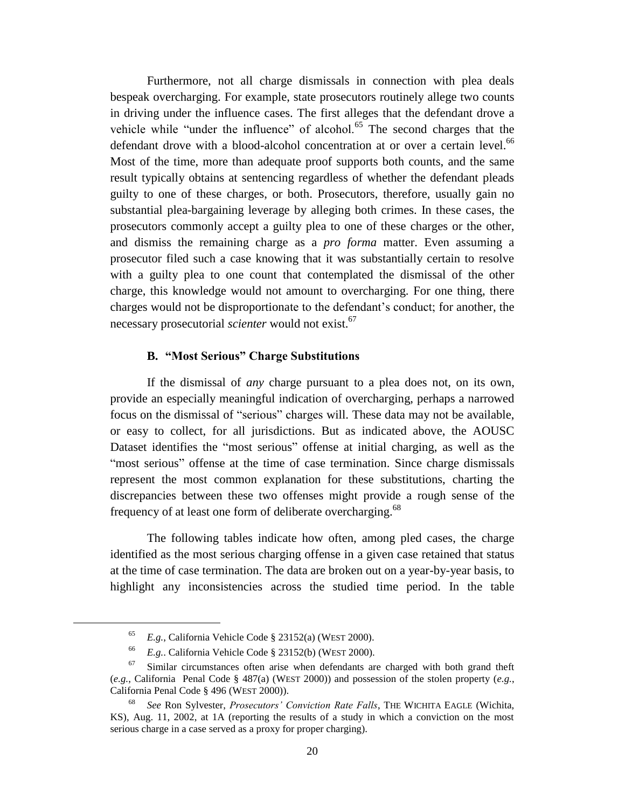Furthermore, not all charge dismissals in connection with plea deals bespeak overcharging. For example, state prosecutors routinely allege two counts in driving under the influence cases. The first alleges that the defendant drove a vehicle while "under the influence" of alcohol. $65$  The second charges that the defendant drove with a blood-alcohol concentration at or over a certain level.<sup>66</sup> Most of the time, more than adequate proof supports both counts, and the same result typically obtains at sentencing regardless of whether the defendant pleads guilty to one of these charges, or both. Prosecutors, therefore, usually gain no substantial plea-bargaining leverage by alleging both crimes. In these cases, the prosecutors commonly accept a guilty plea to one of these charges or the other, and dismiss the remaining charge as a *pro forma* matter. Even assuming a prosecutor filed such a case knowing that it was substantially certain to resolve with a guilty plea to one count that contemplated the dismissal of the other charge, this knowledge would not amount to overcharging. For one thing, there charges would not be disproportionate to the defendant's conduct; for another, the necessary prosecutorial *scienter* would not exist.<sup>67</sup>

#### **B. "Most Serious" Charge Substitutions**

If the dismissal of *any* charge pursuant to a plea does not, on its own, provide an especially meaningful indication of overcharging, perhaps a narrowed focus on the dismissal of "serious" charges will. These data may not be available, or easy to collect, for all jurisdictions. But as indicated above, the AOUSC Dataset identifies the "most serious" offense at initial charging, as well as the "most serious" offense at the time of case termination. Since charge dismissals represent the most common explanation for these substitutions, charting the discrepancies between these two offenses might provide a rough sense of the frequency of at least one form of deliberate overcharging.<sup>68</sup>

The following tables indicate how often, among pled cases, the charge identified as the most serious charging offense in a given case retained that status at the time of case termination. The data are broken out on a year-by-year basis, to highlight any inconsistencies across the studied time period. In the table

<sup>65</sup> *E.g.*, California Vehicle Code § 23152(a) (WEST 2000).

<sup>66</sup> *E.g.*. California Vehicle Code § 23152(b) (WEST 2000).

Similar circumstances often arise when defendants are charged with both grand theft (*e.g.*, California Penal Code § 487(a) (WEST 2000)) and possession of the stolen property (*e.g.*, California Penal Code § 496 (WEST 2000)).

<sup>68</sup> *See* Ron Sylvester, *Prosecutors' Conviction Rate Falls*, THE WICHITA EAGLE (Wichita, KS), Aug. 11, 2002, at 1A (reporting the results of a study in which a conviction on the most serious charge in a case served as a proxy for proper charging).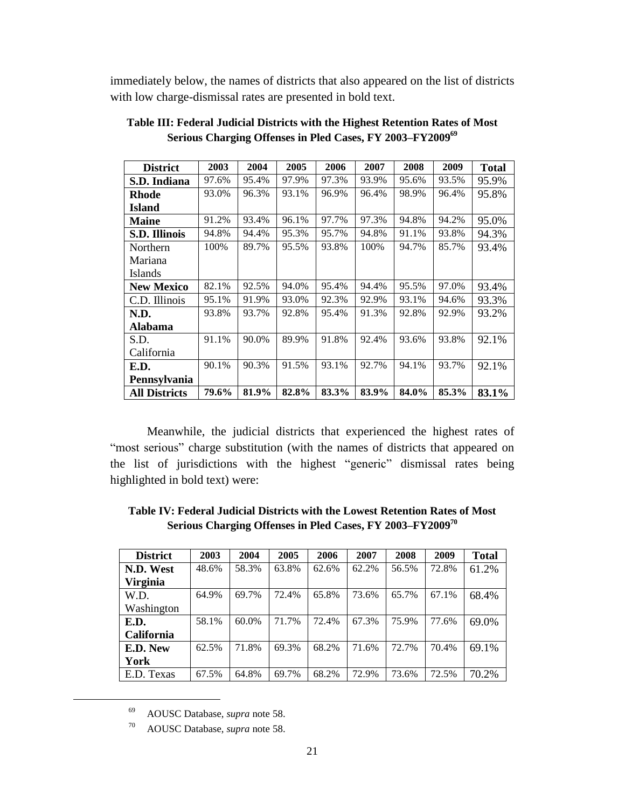immediately below, the names of districts that also appeared on the list of districts with low charge-dismissal rates are presented in bold text.

| <b>District</b>      | 2003  | 2004  | 2005  | 2006  | 2007  | 2008  | 2009  | <b>Total</b> |
|----------------------|-------|-------|-------|-------|-------|-------|-------|--------------|
| S.D. Indiana         | 97.6% | 95.4% | 97.9% | 97.3% | 93.9% | 95.6% | 93.5% | 95.9%        |
| <b>Rhode</b>         | 93.0% | 96.3% | 93.1% | 96.9% | 96.4% | 98.9% | 96.4% | 95.8%        |
| <b>Island</b>        |       |       |       |       |       |       |       |              |
| <b>Maine</b>         | 91.2% | 93.4% | 96.1% | 97.7% | 97.3% | 94.8% | 94.2% | 95.0%        |
| S.D. Illinois        | 94.8% | 94.4% | 95.3% | 95.7% | 94.8% | 91.1% | 93.8% | 94.3%        |
| Northern             | 100%  | 89.7% | 95.5% | 93.8% | 100%  | 94.7% | 85.7% | 93.4%        |
| Mariana              |       |       |       |       |       |       |       |              |
| Islands              |       |       |       |       |       |       |       |              |
| <b>New Mexico</b>    | 82.1% | 92.5% | 94.0% | 95.4% | 94.4% | 95.5% | 97.0% | 93.4%        |
| C.D. Illinois        | 95.1% | 91.9% | 93.0% | 92.3% | 92.9% | 93.1% | 94.6% | 93.3%        |
| N.D.                 | 93.8% | 93.7% | 92.8% | 95.4% | 91.3% | 92.8% | 92.9% | 93.2%        |
| Alabama              |       |       |       |       |       |       |       |              |
| S.D.                 | 91.1% | 90.0% | 89.9% | 91.8% | 92.4% | 93.6% | 93.8% | 92.1%        |
| California           |       |       |       |       |       |       |       |              |
| E.D.                 | 90.1% | 90.3% | 91.5% | 93.1% | 92.7% | 94.1% | 93.7% | 92.1%        |
| Pennsylvania         |       |       |       |       |       |       |       |              |
| <b>All Districts</b> | 79.6% | 81.9% | 82.8% | 83.3% | 83.9% | 84.0% | 85.3% | 83.1%        |

| Table III: Federal Judicial Districts with the Highest Retention Rates of Most |  |
|--------------------------------------------------------------------------------|--|
| Serious Charging Offenses in Pled Cases, FY 2003-FY2009 <sup>69</sup>          |  |

Meanwhile, the judicial districts that experienced the highest rates of "most serious" charge substitution (with the names of districts that appeared on the list of jurisdictions with the highest "generic" dismissal rates being highlighted in bold text) were:

| Table IV: Federal Judicial Districts with the Lowest Retention Rates of Most |  |
|------------------------------------------------------------------------------|--|
| Serious Charging Offenses in Pled Cases, FY 2003–FY2009 <sup>70</sup>        |  |

| <b>District</b>   | 2003  | 2004     | 2005  | 2006  | 2007  | 2008  | 2009  | <b>Total</b> |
|-------------------|-------|----------|-------|-------|-------|-------|-------|--------------|
| N.D. West         | 48.6% | 58.3%    | 63.8% | 62.6% | 62.2% | 56.5% | 72.8% | 61.2%        |
| <b>Virginia</b>   |       |          |       |       |       |       |       |              |
| W.D.              | 64.9% | 69.7%    | 72.4% | 65.8% | 73.6% | 65.7% | 67.1% | 68.4%        |
| Washington        |       |          |       |       |       |       |       |              |
| E.D.              | 58.1% | $60.0\%$ | 71.7% | 72.4% | 67.3% | 75.9% | 77.6% | 69.0%        |
| <b>California</b> |       |          |       |       |       |       |       |              |
| E.D. New          | 62.5% | 71.8%    | 69.3% | 68.2% | 71.6% | 72.7% | 70.4% | 69.1%        |
| York              |       |          |       |       |       |       |       |              |
| E.D. Texas        | 67.5% | 64.8%    | 69.7% | 68.2% | 72.9% | 73.6% | 72.5% | 70.2%        |

<sup>69</sup> AOUSC Database, *supra* note [58.](#page-17-0)

<sup>70</sup> AOUSC Database, *supra* note [58.](#page-17-0)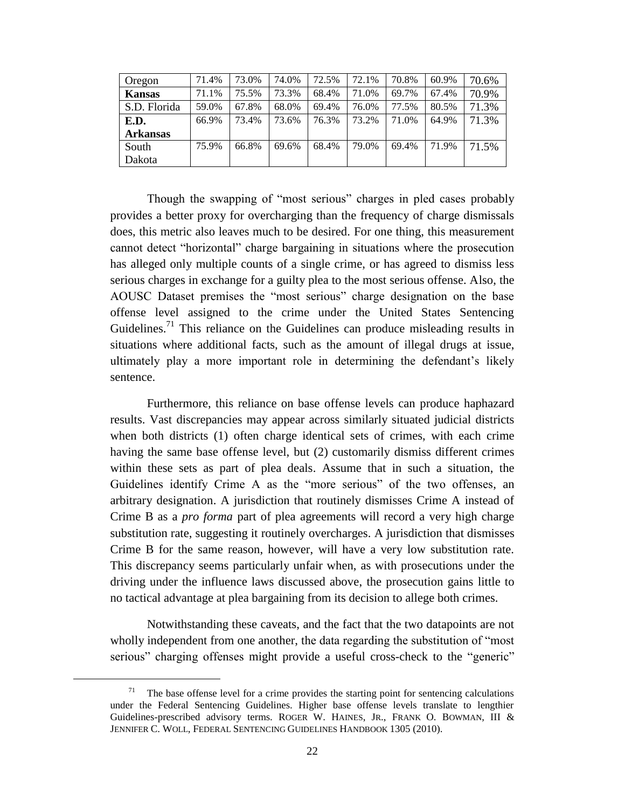| Oregon          | 71.4% | 73.0% | 74.0% | 72.5% | 72.1% | 70.8% | 60.9% | 70.6% |
|-----------------|-------|-------|-------|-------|-------|-------|-------|-------|
| <b>Kansas</b>   | 71.1% | 75.5% | 73.3% | 68.4% | 71.0% | 69.7% | 67.4% | 70.9% |
| S.D. Florida    | 59.0% | 67.8% | 68.0% | 69.4% | 76.0% | 77.5% | 80.5% | 71.3% |
| E.D.            | 66.9% | 73.4% | 73.6% | 76.3% | 73.2% | 71.0% | 64.9% | 71.3% |
| <b>Arkansas</b> |       |       |       |       |       |       |       |       |
| South           | 75.9% | 66.8% | 69.6% | 68.4% | 79.0% | 69.4% | 71.9% | 71.5% |
| Dakota          |       |       |       |       |       |       |       |       |

Though the swapping of "most serious" charges in pled cases probably provides a better proxy for overcharging than the frequency of charge dismissals does, this metric also leaves much to be desired. For one thing, this measurement cannot detect "horizontal" charge bargaining in situations where the prosecution has alleged only multiple counts of a single crime, or has agreed to dismiss less serious charges in exchange for a guilty plea to the most serious offense. Also, the AOUSC Dataset premises the "most serious" charge designation on the base offense level assigned to the crime under the United States Sentencing Guidelines.<sup>71</sup> This reliance on the Guidelines can produce misleading results in situations where additional facts, such as the amount of illegal drugs at issue, ultimately play a more important role in determining the defendant's likely sentence.

Furthermore, this reliance on base offense levels can produce haphazard results. Vast discrepancies may appear across similarly situated judicial districts when both districts (1) often charge identical sets of crimes, with each crime having the same base offense level, but (2) customarily dismiss different crimes within these sets as part of plea deals. Assume that in such a situation, the Guidelines identify Crime A as the "more serious" of the two offenses, an arbitrary designation. A jurisdiction that routinely dismisses Crime A instead of Crime B as a *pro forma* part of plea agreements will record a very high charge substitution rate, suggesting it routinely overcharges. A jurisdiction that dismisses Crime B for the same reason, however, will have a very low substitution rate. This discrepancy seems particularly unfair when, as with prosecutions under the driving under the influence laws discussed above, the prosecution gains little to no tactical advantage at plea bargaining from its decision to allege both crimes.

Notwithstanding these caveats, and the fact that the two datapoints are not wholly independent from one another, the data regarding the substitution of "most serious" charging offenses might provide a useful cross-check to the "generic"

 $71$  The base offense level for a crime provides the starting point for sentencing calculations under the Federal Sentencing Guidelines. Higher base offense levels translate to lengthier Guidelines-prescribed advisory terms. ROGER W. HAINES, JR., FRANK O. BOWMAN, III & JENNIFER C. WOLL, FEDERAL SENTENCING GUIDELINES HANDBOOK 1305 (2010).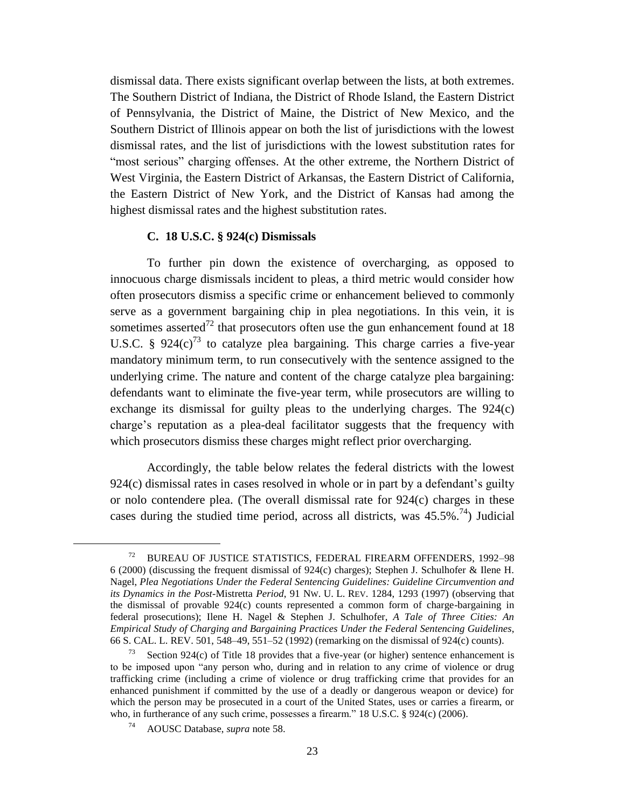dismissal data. There exists significant overlap between the lists, at both extremes. The Southern District of Indiana, the District of Rhode Island, the Eastern District of Pennsylvania, the District of Maine, the District of New Mexico, and the Southern District of Illinois appear on both the list of jurisdictions with the lowest dismissal rates, and the list of jurisdictions with the lowest substitution rates for "most serious" charging offenses. At the other extreme, the Northern District of West Virginia, the Eastern District of Arkansas, the Eastern District of California, the Eastern District of New York, and the District of Kansas had among the highest dismissal rates and the highest substitution rates.

# **C. 18 U.S.C. § 924(c) Dismissals**

To further pin down the existence of overcharging, as opposed to innocuous charge dismissals incident to pleas, a third metric would consider how often prosecutors dismiss a specific crime or enhancement believed to commonly serve as a government bargaining chip in plea negotiations. In this vein, it is sometimes asserted<sup>72</sup> that prosecutors often use the gun enhancement found at 18 U.S.C. §  $924(c)^{73}$  to catalyze plea bargaining. This charge carries a five-year mandatory minimum term, to run consecutively with the sentence assigned to the underlying crime. The nature and content of the charge catalyze plea bargaining: defendants want to eliminate the five-year term, while prosecutors are willing to exchange its dismissal for guilty pleas to the underlying charges. The 924(c) charge's reputation as a plea-deal facilitator suggests that the frequency with which prosecutors dismiss these charges might reflect prior overcharging.

Accordingly, the table below relates the federal districts with the lowest 924(c) dismissal rates in cases resolved in whole or in part by a defendant's guilty or nolo contendere plea. (The overall dismissal rate for 924(c) charges in these cases during the studied time period, across all districts, was  $45.5\%$ <sup>74</sup>) Judicial

l

<sup>72</sup> BUREAU OF JUSTICE STATISTICS, FEDERAL FIREARM OFFENDERS, 1992–98 6 (2000) (discussing the frequent dismissal of 924(c) charges); Stephen J. Schulhofer & Ilene H. Nagel, *Plea Negotiations Under the Federal Sentencing Guidelines: Guideline Circumvention and its Dynamics in the Post-*Mistretta *Period*, 91 NW. U. L. REV. 1284, 1293 (1997) (observing that the dismissal of provable  $924(c)$  counts represented a common form of charge-bargaining in federal prosecutions); Ilene H. Nagel & Stephen J. Schulhofer, *A Tale of Three Cities: An Empirical Study of Charging and Bargaining Practices Under the Federal Sentencing Guidelines*, 66 S. CAL. L. REV. 501, 548–49, 551–52 (1992) (remarking on the dismissal of 924(c) counts).

Section 924 $(c)$  of Title 18 provides that a five-year (or higher) sentence enhancement is to be imposed upon "any person who, during and in relation to any crime of violence or drug trafficking crime (including a crime of violence or drug trafficking crime that provides for an enhanced punishment if committed by the use of a deadly or dangerous weapon or device) for which the person may be prosecuted in a court of the United States, uses or carries a firearm, or who, in furtherance of any such crime, possesses a firearm." 18 U.S.C. § 924(c) (2006).

<sup>74</sup> AOUSC Database, *supra* note [58.](#page-17-0)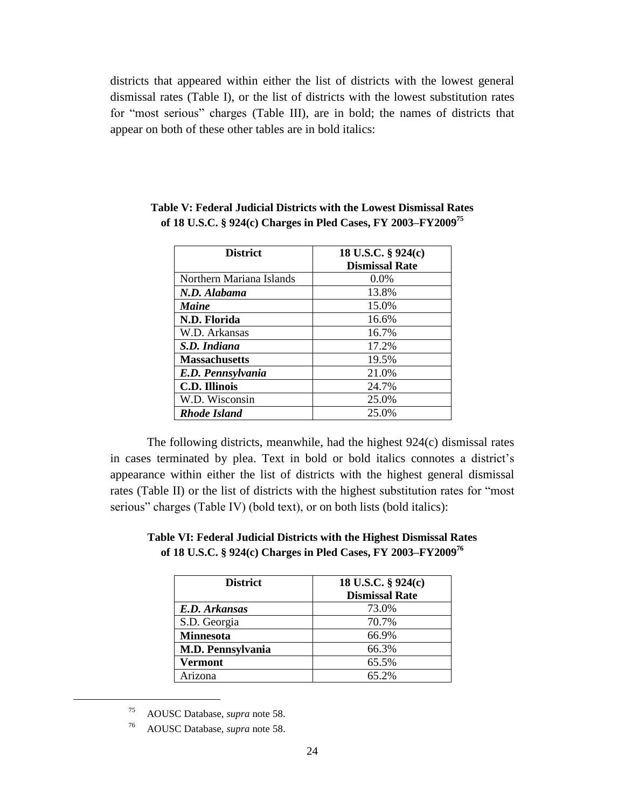districts that appeared within either the list of districts with the lowest general dismissal rates (Table I), or the list of districts with the lowest substitution rates for "most serious" charges (Table III), are in bold; the names of districts that appear on both of these other tables are in bold italics:

| <b>District</b>          | 18 U.S.C. § 924(c)    |
|--------------------------|-----------------------|
|                          | <b>Dismissal Rate</b> |
| Northern Mariana Islands | 0.0%                  |
| N.D. Alabama             | 13.8%                 |
| Maine                    | 15.0%                 |
| N.D. Florida             | 16.6%                 |
| W.D. Arkansas            | 16.7%                 |
| S.D. Indiana             | 17.2%                 |
| <b>Massachusetts</b>     | 19.5%                 |
| E.D. Pennsylvania        | 21.0%                 |
| <b>C.D. Illinois</b>     | 24.7%                 |
| W.D. Wisconsin           | 25.0%                 |
| <b>Rhode Island</b>      | 25.0%                 |

**Table V: Federal Judicial Districts with the Lowest Dismissal Rates of 18 U.S.C. § 924(c) Charges in Pled Cases, FY 2003–FY2009<sup>75</sup>**

The following districts, meanwhile, had the highest 924(c) dismissal rates in cases terminated by plea. Text in bold or bold italics connotes a district's appearance within either the list of districts with the highest general dismissal rates (Table II) or the list of districts with the highest substitution rates for "most serious" charges (Table IV) (bold text), or on both lists (bold italics):

**Table VI: Federal Judicial Districts with the Highest Dismissal Rates of 18 U.S.C. § 924(c) Charges in Pled Cases, FY 2003–FY2009<sup>76</sup>**

| <b>District</b>          | 18 U.S.C. § 924(c)    |
|--------------------------|-----------------------|
|                          | <b>Dismissal Rate</b> |
| E.D. Arkansas            | 73.0%                 |
| S.D. Georgia             | 70.7%                 |
| <b>Minnesota</b>         | 66.9%                 |
| <b>M.D. Pennsylvania</b> | 66.3%                 |
| Vermont                  | 65.5%                 |
| Arizona                  | 65.2%                 |

<sup>75</sup> AOUSC Database, *supra* note [58.](#page-17-0)

<sup>76</sup> AOUSC Database, *supra* note [58.](#page-17-0)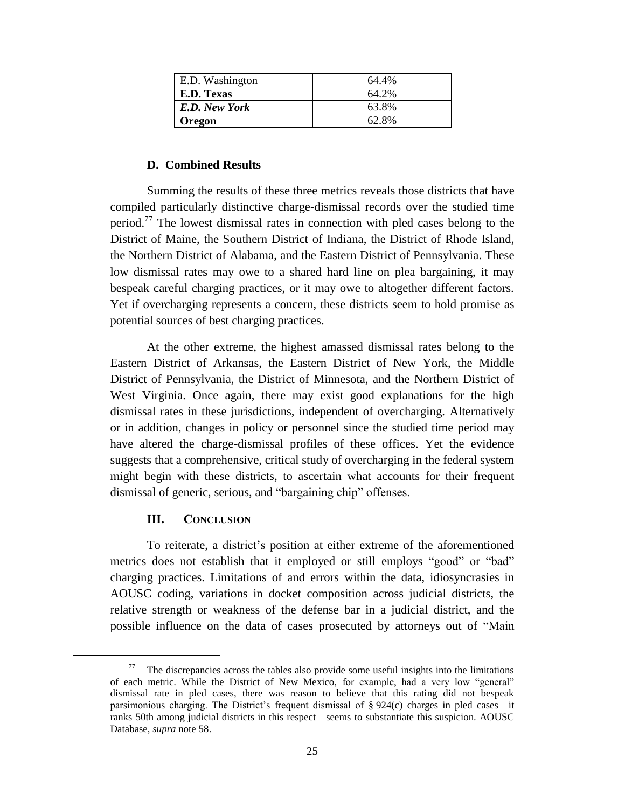| E.D. Washington | 64.4% |
|-----------------|-------|
| E.D. Texas      | 64.2% |
| E.D. New York   | 63.8% |
| <b>Oregon</b>   | 62.8% |

# **D. Combined Results**

Summing the results of these three metrics reveals those districts that have compiled particularly distinctive charge-dismissal records over the studied time period.<sup>77</sup> The lowest dismissal rates in connection with pled cases belong to the District of Maine, the Southern District of Indiana, the District of Rhode Island, the Northern District of Alabama, and the Eastern District of Pennsylvania. These low dismissal rates may owe to a shared hard line on plea bargaining, it may bespeak careful charging practices, or it may owe to altogether different factors. Yet if overcharging represents a concern, these districts seem to hold promise as potential sources of best charging practices.

At the other extreme, the highest amassed dismissal rates belong to the Eastern District of Arkansas, the Eastern District of New York, the Middle District of Pennsylvania, the District of Minnesota, and the Northern District of West Virginia. Once again, there may exist good explanations for the high dismissal rates in these jurisdictions, independent of overcharging. Alternatively or in addition, changes in policy or personnel since the studied time period may have altered the charge-dismissal profiles of these offices. Yet the evidence suggests that a comprehensive, critical study of overcharging in the federal system might begin with these districts, to ascertain what accounts for their frequent dismissal of generic, serious, and "bargaining chip" offenses.

# **III. CONCLUSION**

l

To reiterate, a district's position at either extreme of the aforementioned metrics does not establish that it employed or still employs "good" or "bad" charging practices. Limitations of and errors within the data, idiosyncrasies in AOUSC coding, variations in docket composition across judicial districts, the relative strength or weakness of the defense bar in a judicial district, and the possible influence on the data of cases prosecuted by attorneys out of "Main

<sup>77</sup> The discrepancies across the tables also provide some useful insights into the limitations of each metric. While the District of New Mexico, for example, had a very low "general" dismissal rate in pled cases, there was reason to believe that this rating did not bespeak parsimonious charging. The District's frequent dismissal of § 924(c) charges in pled cases—it ranks 50th among judicial districts in this respect—seems to substantiate this suspicion. AOUSC Database, *supra* not[e 58.](#page-17-0)